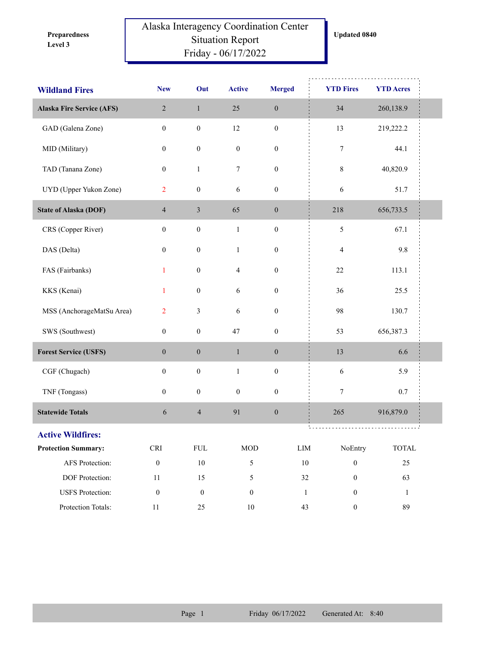**Level 3 Preparedness** 

## Alaska Interagency Coordination Center Situation Report Friday - 06/17/2022

| <b>Wildland Fires</b>            | <b>New</b>           | Out                      | <b>Active</b>    | <b>Merged</b>    | <b>YTD Fires</b> | <b>YTD Acres</b>       |  |
|----------------------------------|----------------------|--------------------------|------------------|------------------|------------------|------------------------|--|
| <b>Alaska Fire Service (AFS)</b> | $\sqrt{2}$           | $\,1\,$                  | 25               | $\boldsymbol{0}$ | 34               | 260,138.9              |  |
| GAD (Galena Zone)                | $\boldsymbol{0}$     | $\boldsymbol{0}$         | 12               | $\boldsymbol{0}$ | 13               | 219,222.2              |  |
| MID (Military)                   | $\boldsymbol{0}$     | $\boldsymbol{0}$         | $\boldsymbol{0}$ | $\boldsymbol{0}$ | $\boldsymbol{7}$ | 44.1                   |  |
| TAD (Tanana Zone)                | $\boldsymbol{0}$     | $\mathbf{1}$             | $\boldsymbol{7}$ | $\boldsymbol{0}$ | $\,$ $\,$        | 40,820.9               |  |
| UYD (Upper Yukon Zone)           | $\overline{2}$       | $\boldsymbol{0}$         | 6                | $\boldsymbol{0}$ | 6                | 51.7                   |  |
| <b>State of Alaska (DOF)</b>     | $\overline{4}$       | $\mathfrak{Z}$           | 65               | $\boldsymbol{0}$ | 218              | 656,733.5              |  |
| CRS (Copper River)               | $\boldsymbol{0}$     | $\boldsymbol{0}$         | $\,1\,$          | $\boldsymbol{0}$ | $\mathfrak{S}$   | 67.1                   |  |
| DAS (Delta)                      | $\boldsymbol{0}$     | $\boldsymbol{0}$         | $\mathbf{1}$     | $\boldsymbol{0}$ | $\overline{4}$   | 9.8                    |  |
| FAS (Fairbanks)                  | $\mathbf{1}$         | $\boldsymbol{0}$         | $\overline{4}$   | $\boldsymbol{0}$ | $22\,$           | 113.1                  |  |
| KKS (Kenai)                      | $\mathbf{1}$         | $\boldsymbol{0}$         | 6                | $\boldsymbol{0}$ | 36               | 25.5                   |  |
| MSS (AnchorageMatSu Area)        | $\overline{2}$       | $\mathfrak{Z}$           | 6                | $\boldsymbol{0}$ | 98               | 130.7                  |  |
| SWS (Southwest)                  | $\boldsymbol{0}$     | $\boldsymbol{0}$         | $47\,$           | $\boldsymbol{0}$ | 53               | 656,387.3              |  |
| <b>Forest Service (USFS)</b>     | $\boldsymbol{0}$     | $\boldsymbol{0}$         | $\mathbf{1}$     | $\boldsymbol{0}$ | 13               | 6.6                    |  |
| CGF (Chugach)                    | $\boldsymbol{0}$     | $\boldsymbol{0}$         | $\,1\,$          | $\boldsymbol{0}$ | 6                | 5.9                    |  |
| TNF (Tongass)                    | $\boldsymbol{0}$     | $\boldsymbol{0}$         | $\boldsymbol{0}$ | $\boldsymbol{0}$ | $\tau$           | 0.7                    |  |
| <b>Statewide Totals</b>          | $\sqrt{6}$           | $\overline{\mathcal{L}}$ | 91               | $\boldsymbol{0}$ | 265              | 916,879.0              |  |
| <b>Active Wildfires:</b>         |                      |                          |                  |                  |                  |                        |  |
| <b>Protection Summary:</b>       | $\operatorname{CRI}$ | ${\rm FUL}$              | $\rm MOD$        | ${\rm LIM}$      | NoEntry          | $\operatorname{TOTAL}$ |  |
| AFS Protection:                  | $\boldsymbol{0}$     | $10\,$                   | 5                | $10\,$           | $\boldsymbol{0}$ | 25                     |  |
| DOF Protection:                  | $11\,$               | 15                       | 5                | 32               | $\boldsymbol{0}$ | 63                     |  |
| <b>USFS</b> Protection:          | $\boldsymbol{0}$     | $\boldsymbol{0}$         | $\boldsymbol{0}$ | $\,1\,$          | $\boldsymbol{0}$ | 1                      |  |
| Protection Totals:               | $11\,$               | $25\,$                   | $10\,$           | 43               | $\boldsymbol{0}$ | 89                     |  |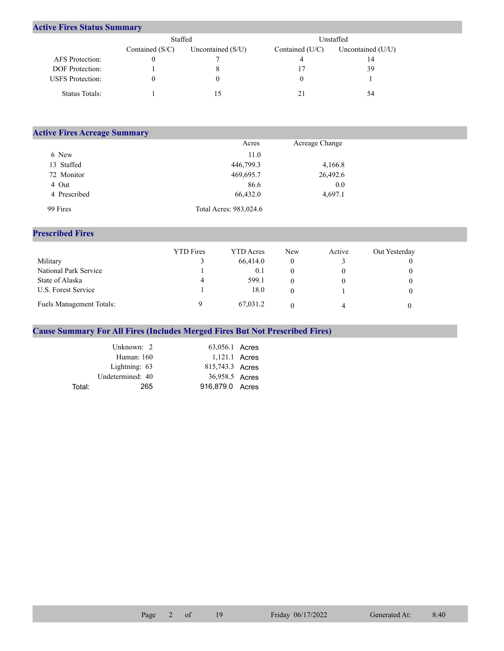## **Active Fires Status Summary**

|                         | Staffed           |                     | Unstaffed         |                     |  |  |
|-------------------------|-------------------|---------------------|-------------------|---------------------|--|--|
|                         | Contained $(S/C)$ | Uncontained $(S/U)$ | Contained $(U/C)$ | Uncontained $(U/U)$ |  |  |
| AFS Protection:         |                   |                     |                   | 14                  |  |  |
| DOF Protection:         |                   | x                   |                   | 39                  |  |  |
| <b>USFS</b> Protection: |                   | O                   |                   |                     |  |  |
| Status Totals:          |                   |                     |                   | 54                  |  |  |

| <b>Active Fires Acreage Summary</b> |                        |                |  |  |  |  |  |  |
|-------------------------------------|------------------------|----------------|--|--|--|--|--|--|
|                                     | Acres                  | Acreage Change |  |  |  |  |  |  |
| 6 New                               | 11.0                   |                |  |  |  |  |  |  |
| 13 Staffed                          | 446,799.3              | 4,166.8        |  |  |  |  |  |  |
| 72 Monitor                          | 469,695.7              | 26,492.6       |  |  |  |  |  |  |
| 4 Out                               | 86.6                   | 0.0            |  |  |  |  |  |  |
| 4 Prescribed                        | 66,432.0               | 4,697.1        |  |  |  |  |  |  |
| 99 Fires                            | Total Acres: 983,024.6 |                |  |  |  |  |  |  |

## **Prescribed Fires**

|                                 | <b>YTD</b> Fires | <b>YTD</b> Acres | <b>New</b> | Active | Out Yesterday |
|---------------------------------|------------------|------------------|------------|--------|---------------|
| Military                        |                  | 66,414.0         |            |        |               |
| National Park Service           |                  | 0.1              |            |        |               |
| State of Alaska                 | 4                | 599.1            |            |        |               |
| U.S. Forest Service             |                  | 18.0             |            |        |               |
| <b>Fuels Management Totals:</b> |                  | 67,031.2         |            | 4      |               |

## **Cause Summary For All Fires (Includes Merged Fires But Not Prescribed Fires)**

|        | Unknown: 2       | 63,056.1 Acres  |  |
|--------|------------------|-----------------|--|
|        | Human: 160       | 1,121.1 Acres   |  |
|        | Lightning: 63    | 815,743.3 Acres |  |
|        | Undetermined: 40 | 36,958.5 Acres  |  |
| Total: | 265              | 916,879.0 Acres |  |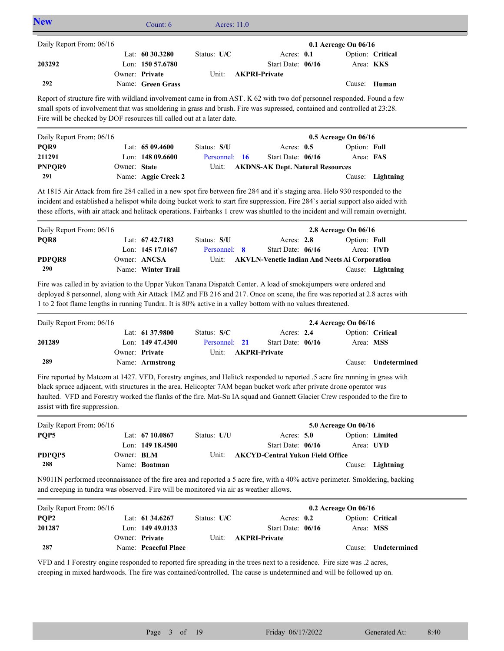| <b>New</b>                                                                                                                                                                                                                                                                                                                                                     |              | Count: 6                            | Acres: 11.0                  |  |                                                      |  |                           |                               |
|----------------------------------------------------------------------------------------------------------------------------------------------------------------------------------------------------------------------------------------------------------------------------------------------------------------------------------------------------------------|--------------|-------------------------------------|------------------------------|--|------------------------------------------------------|--|---------------------------|-------------------------------|
| Daily Report From: 06/16                                                                                                                                                                                                                                                                                                                                       |              |                                     |                              |  |                                                      |  | 0.1 Acreage On 06/16      |                               |
| 203292                                                                                                                                                                                                                                                                                                                                                         |              | Lat: 60 30.3280<br>Lon: 150 57.6780 | Status: U/C                  |  | Acres: 0.1<br>Start Date: 06/16                      |  |                           | Option: Critical<br>Area: KKS |
| 292                                                                                                                                                                                                                                                                                                                                                            |              | Owner: Private<br>Name: Green Grass | Unit:                        |  | <b>AKPRI-Private</b>                                 |  | Cause:                    | Human                         |
| Report of structure fire with wildland involvement came in from AST. K 62 with two dof personnel responded. Found a few<br>small spots of involvement that was smoldering in grass and brush. Fire was supressed, contained and controlled at 23:28.<br>Fire will be checked by DOF resources till called out at a later date.                                 |              |                                     |                              |  |                                                      |  |                           |                               |
|                                                                                                                                                                                                                                                                                                                                                                |              |                                     |                              |  |                                                      |  |                           |                               |
| Daily Report From: 06/16                                                                                                                                                                                                                                                                                                                                       |              |                                     |                              |  |                                                      |  | 0.5 Acreage On 06/16      |                               |
| PQR9<br>211291                                                                                                                                                                                                                                                                                                                                                 |              | Lat: 65 09.4600<br>Lon: 148 09.6600 | Status: S/U<br>Personnel: 16 |  | Acres: 0.5<br>Start Date: 06/16                      |  | Option: Full<br>Area: FAS |                               |
| PNPQR9                                                                                                                                                                                                                                                                                                                                                         | Owner: State |                                     | Unit:                        |  |                                                      |  |                           |                               |
| 291                                                                                                                                                                                                                                                                                                                                                            |              | Name: Aggie Creek 2                 |                              |  | <b>AKDNS-AK Dept. Natural Resources</b>              |  | Cause:                    | Lightning                     |
|                                                                                                                                                                                                                                                                                                                                                                |              |                                     |                              |  |                                                      |  |                           |                               |
| At 1815 Air Attack from fire 284 called in a new spot fire between fire 284 and it's staging area. Helo 930 responded to the                                                                                                                                                                                                                                   |              |                                     |                              |  |                                                      |  |                           |                               |
| incident and established a helispot while doing bucket work to start fire suppression. Fire 284's aerial support also aided with<br>these efforts, with air attack and helitack operations. Fairbanks 1 crew was shuttled to the incident and will remain overnight.                                                                                           |              |                                     |                              |  |                                                      |  |                           |                               |
|                                                                                                                                                                                                                                                                                                                                                                |              |                                     |                              |  |                                                      |  |                           |                               |
| Daily Report From: 06/16                                                                                                                                                                                                                                                                                                                                       |              |                                     |                              |  |                                                      |  | 2.8 Acreage On 06/16      |                               |
| PQR8                                                                                                                                                                                                                                                                                                                                                           |              | Lat: 67 42.7183                     | Status: S/U                  |  | Acres: $2.8$                                         |  | Option: Full              |                               |
|                                                                                                                                                                                                                                                                                                                                                                |              | Lon: 145 17.0167                    | Personnel: 8                 |  | Start Date: 06/16                                    |  |                           | Area: UYD                     |
| PDPQR8                                                                                                                                                                                                                                                                                                                                                         |              | Owner: ANCSA                        | Unit:                        |  | <b>AKVLN-Venetie Indian And Neets Ai Corporation</b> |  |                           |                               |
| 290                                                                                                                                                                                                                                                                                                                                                            |              | Name: Winter Trail                  |                              |  |                                                      |  |                           | Cause: Lightning              |
| Fire was called in by aviation to the Upper Yukon Tanana Dispatch Center. A load of smokejumpers were ordered and<br>deployed 8 personnel, along with Air Attack 1MZ and FB 216 and 217. Once on scene, the fire was reported at 2.8 acres with<br>1 to 2 foot flame lengths in running Tundra. It is 80% active in a valley bottom with no values threatened. |              |                                     |                              |  |                                                      |  |                           |                               |
| Daily Report From: 06/16                                                                                                                                                                                                                                                                                                                                       |              |                                     |                              |  |                                                      |  | 2.4 Acreage On 06/16      |                               |
|                                                                                                                                                                                                                                                                                                                                                                |              | Lat: 61 37.9800                     | Status: S/C                  |  | Acres: 2.4                                           |  |                           | Option: Critical              |
| 201289                                                                                                                                                                                                                                                                                                                                                         |              | Lon: $14947.4300$                   | Personnel: 21                |  | Start Date: 06/16                                    |  |                           | Area: MSS                     |
| 289                                                                                                                                                                                                                                                                                                                                                            |              | Owner: Private                      | Unit:                        |  | <b>AKPRI-Private</b>                                 |  |                           |                               |
|                                                                                                                                                                                                                                                                                                                                                                |              | Name: Armstrong                     |                              |  |                                                      |  |                           | Cause: Undetermined           |
| Fire reported by Matcom at 1427. VFD, Forestry engines, and Helitck responded to reported .5 acre fire running in grass with                                                                                                                                                                                                                                   |              |                                     |                              |  |                                                      |  |                           |                               |
| black spruce adjacent, with structures in the area. Helicopter 7AM began bucket work after private drone operator was                                                                                                                                                                                                                                          |              |                                     |                              |  |                                                      |  |                           |                               |
| haulted. VFD and Forestry worked the flanks of the fire. Mat-Su IA squad and Gannett Glacier Crew responded to the fire to                                                                                                                                                                                                                                     |              |                                     |                              |  |                                                      |  |                           |                               |
| assist with fire suppression.                                                                                                                                                                                                                                                                                                                                  |              |                                     |                              |  |                                                      |  |                           |                               |
| Daily Report From: 06/16                                                                                                                                                                                                                                                                                                                                       |              |                                     |                              |  |                                                      |  | 5.0 Acreage On 06/16      |                               |
| PQP5                                                                                                                                                                                                                                                                                                                                                           |              | Lat: 67 10.0867                     | Status: U/U                  |  | Acres: 5.0                                           |  |                           | Option: Limited               |
|                                                                                                                                                                                                                                                                                                                                                                |              | Lon: 149 18.4500                    |                              |  | Start Date: 06/16                                    |  |                           | Area: UYD                     |
| PDPQP5<br>288                                                                                                                                                                                                                                                                                                                                                  | Owner: BLM   | Name: Boatman                       | Unit:                        |  | <b>AKCYD-Central Yukon Field Office</b>              |  |                           | Cause: Lightning              |
| N9011N performed reconnaissance of the fire area and reported a 5 acre fire, with a 40% active perimeter. Smoldering, backing<br>and creeping in tundra was observed. Fire will be monitored via air as weather allows.                                                                                                                                        |              |                                     |                              |  |                                                      |  |                           |                               |
| Daily Report From: 06/16                                                                                                                                                                                                                                                                                                                                       |              |                                     |                              |  |                                                      |  | 0.2 Acreage On 06/16      |                               |
| PQP2                                                                                                                                                                                                                                                                                                                                                           |              | Lat: 61 34,6267                     | Status: U/C                  |  | Acres: 0.2                                           |  |                           | Option: Critical              |
| 201287                                                                                                                                                                                                                                                                                                                                                         |              | Lon: 149 49.0133                    |                              |  | Start Date: 06/16                                    |  |                           | Area: MSS                     |
|                                                                                                                                                                                                                                                                                                                                                                |              | Owner: Private                      | Unit:                        |  | <b>AKPRI-Private</b>                                 |  |                           |                               |
| 287                                                                                                                                                                                                                                                                                                                                                            |              | Name: Peaceful Place                |                              |  |                                                      |  | Cause:                    | Undetermined                  |

VFD and 1 Forestry engine responded to reported fire spreading in the trees next to a residence. Fire size was .2 acres, creeping in mixed hardwoods. The fire was contained/controlled. The cause is undetermined and will be followed up on.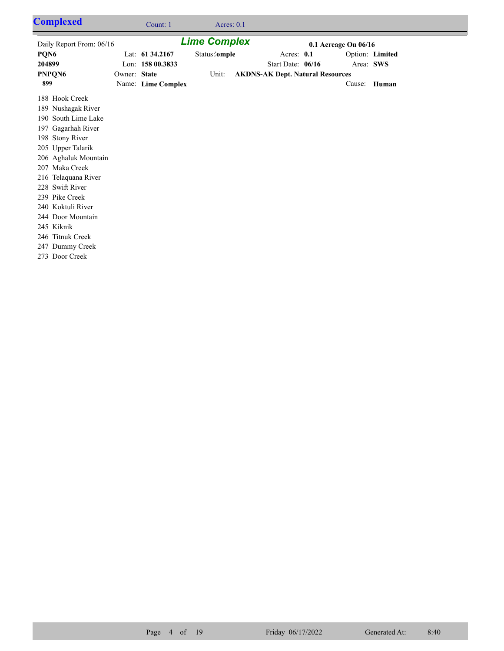| <b>Complexed</b>                                                                                                                                                                                                                                                                                                                                 |              | Count: 1            | Acres: $0.1$  |  |                                         |  |              |                 |  |
|--------------------------------------------------------------------------------------------------------------------------------------------------------------------------------------------------------------------------------------------------------------------------------------------------------------------------------------------------|--------------|---------------------|---------------|--|-----------------------------------------|--|--------------|-----------------|--|
| Daily Report From: 06/16                                                                                                                                                                                                                                                                                                                         |              | <b>Lime Complex</b> |               |  | 0.1 Acreage On 06/16                    |  |              |                 |  |
| PQN6                                                                                                                                                                                                                                                                                                                                             |              | Lat: 61 34.2167     | Status:'omple |  | Acres: 0.1                              |  |              | Option: Limited |  |
| 204899                                                                                                                                                                                                                                                                                                                                           |              | Lon: 158 00.3833    |               |  | Start Date: 06/16                       |  | Area: SWS    |                 |  |
| PNPQN6                                                                                                                                                                                                                                                                                                                                           | Owner: State |                     | Unit:         |  | <b>AKDNS-AK Dept. Natural Resources</b> |  |              |                 |  |
| 899                                                                                                                                                                                                                                                                                                                                              |              | Name: Lime Complex  |               |  |                                         |  | Cause: Human |                 |  |
| 188 Hook Creek<br>189 Nushagak River<br>190 South Lime Lake<br>197 Gagarhah River<br>198 Stony River<br>205 Upper Talarik<br>206 Aghaluk Mountain<br>207 Maka Creek<br>216 Telaquana River<br>228 Swift River<br>239 Pike Creek<br>240 Koktuli River<br>244 Door Mountain<br>245 Kiknik<br>246 Titnuk Creek<br>247 Dummy Creek<br>273 Door Creek |              |                     |               |  |                                         |  |              |                 |  |
|                                                                                                                                                                                                                                                                                                                                                  |              |                     |               |  |                                         |  |              |                 |  |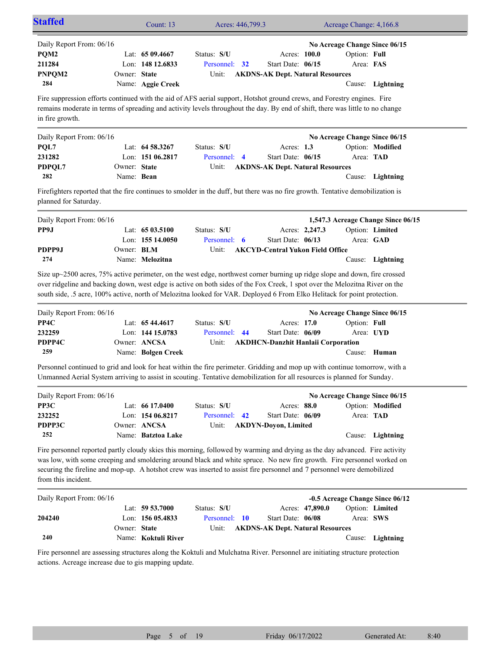| <b>Staffed</b>                                                                                                                                           |                            | Count: 13                                                                  | Acres: 446,799.3                                                                                                                                                                                                                                                                                                                                                                      |                                                                               |                           | Acreage Change: 4,166.8                                                            |  |  |
|----------------------------------------------------------------------------------------------------------------------------------------------------------|----------------------------|----------------------------------------------------------------------------|---------------------------------------------------------------------------------------------------------------------------------------------------------------------------------------------------------------------------------------------------------------------------------------------------------------------------------------------------------------------------------------|-------------------------------------------------------------------------------|---------------------------|------------------------------------------------------------------------------------|--|--|
| Daily Report From: 06/16<br>PQM2<br>211284<br>PNPQM2<br>284                                                                                              | Owner: State               | Lat: $6509.4667$<br>Lon: 148 12.6833<br>Name: Aggie Creek                  | Status: S/U<br>Personnel: 32<br>Unit:                                                                                                                                                                                                                                                                                                                                                 | Acres: 100.0<br>Start Date: 06/15<br><b>AKDNS-AK Dept. Natural Resources</b>  | Option: Full<br>Area: FAS | No Acreage Change Since 06/15<br>Cause: Lightning                                  |  |  |
| in fire growth.                                                                                                                                          |                            |                                                                            | Fire suppression efforts continued with the aid of AFS aerial support, Hotshot ground crews, and Forestry engines. Fire<br>remains moderate in terms of spreading and activity levels throughout the day. By end of shift, there was little to no change                                                                                                                              |                                                                               |                           |                                                                                    |  |  |
| Daily Report From: 06/16<br>PQL7<br>231282<br>PDPQL7<br>282                                                                                              | Owner: State<br>Name: Bean | Lat: 64 58.3267<br>Lon: $15106.2817$                                       | Status: S/U<br>Personnel: 4<br>Unit:                                                                                                                                                                                                                                                                                                                                                  | Acres: $1.3$<br>Start Date: 06/15<br><b>AKDNS-AK Dept. Natural Resources</b>  | Cause:                    | No Acreage Change Since 06/15<br>Option: Modified<br>Area: TAD<br>Lightning        |  |  |
| Firefighters reported that the fire continues to smolder in the duff, but there was no fire growth. Tentative demobilization is<br>planned for Saturday. |                            |                                                                            |                                                                                                                                                                                                                                                                                                                                                                                       |                                                                               |                           |                                                                                    |  |  |
| Daily Report From: 06/16<br>PP9J                                                                                                                         |                            | Lat: $6503.5100$<br>Lon: 155 14.0050                                       | Status: S/U<br>Personnel: 6                                                                                                                                                                                                                                                                                                                                                           | Acres: 2,247.3<br>Start Date: 06/13                                           |                           | 1,547.3 Acreage Change Since 06/15<br>Option: Limited<br>Area: GAD                 |  |  |
| PDPP9J<br>274                                                                                                                                            | Owner: BLM                 | Name: Melozitna                                                            | Unit:                                                                                                                                                                                                                                                                                                                                                                                 | <b>AKCYD-Central Yukon Field Office</b>                                       |                           | Cause: Lightning                                                                   |  |  |
|                                                                                                                                                          |                            |                                                                            | Size up~2500 acres, 75% active perimeter, on the west edge, northwest corner burning up ridge slope and down, fire crossed<br>over ridgeline and backing down, west edge is active on both sides of the Fox Creek, 1 spot over the Melozitna River on the<br>south side, .5 acre, 100% active, north of Melozitna looked for VAR. Deployed 6 From Elko Helitack for point protection. |                                                                               |                           |                                                                                    |  |  |
| Daily Report From: 06/16<br>PP4C<br>232259<br>PDPP4C<br>259                                                                                              |                            | Lat: $6544.4617$<br>Lon: 144 15.0783<br>Owner: ANCSA<br>Name: Bolgen Creek | Status: S/U<br>Personnel: 44<br>Unit:                                                                                                                                                                                                                                                                                                                                                 | Acres: 17.0<br>Start Date: 06/09<br><b>AKDHCN-Danzhit Hanlaii Corporation</b> | Option: Full              | No Acreage Change Since 06/15<br>Area: UYD<br>Cause: Human                         |  |  |
|                                                                                                                                                          |                            |                                                                            | Personnel continued to grid and look for heat within the fire perimeter. Gridding and mop up with continue tomorrow, with a<br>Unmanned Aerial System arriving to assist in scouting. Tentative demobilization for all resources is planned for Sunday.                                                                                                                               |                                                                               |                           |                                                                                    |  |  |
| Daily Report From: 06/16<br>PP3C<br>232252<br>PDPP3C<br>252                                                                                              |                            | Lat: 66 17.0400<br>Lon: 154 06.8217<br>Owner: ANCSA<br>Name: Batztoa Lake  | Status: S/U<br>Personnel: 42<br>Unit:<br><b>AKDYN-Doyon, Limited</b><br>Fire personnel reported partly cloudy skies this morning, followed by warming and drying as the day advanced. Fire activity                                                                                                                                                                                   | Acres: 88.0<br>Start Date: 06/09                                              |                           | No Acreage Change Since 06/15<br>Option: Modified<br>Area: TAD<br>Cause: Lightning |  |  |
| from this incident.                                                                                                                                      |                            |                                                                            | was low, with some creeping and smoldering around black and white spruce. No new fire growth. Fire personnel worked on<br>securing the fireline and mop-up. A hotshot crew was inserted to assist fire personnel and 7 personnel were demobilized                                                                                                                                     |                                                                               |                           |                                                                                    |  |  |
| Daily Report From: 06/16                                                                                                                                 |                            | Lat: 59 53.7000                                                            | Status: S/U                                                                                                                                                                                                                                                                                                                                                                           | Acres: 47,890.0                                                               |                           | -0.5 Acreage Change Since 06/12<br>Option: Limited                                 |  |  |
| 204240<br>240                                                                                                                                            | Owner: State               | Lon: 156 05.4833<br>Name: Koktuli River                                    | Personnel: 10<br>Unit:                                                                                                                                                                                                                                                                                                                                                                | Start Date: 06/08<br><b>AKDNS-AK Dept. Natural Resources</b>                  |                           | Area: SWS<br>Cause: Lightning                                                      |  |  |
|                                                                                                                                                          |                            |                                                                            |                                                                                                                                                                                                                                                                                                                                                                                       |                                                                               |                           |                                                                                    |  |  |

Fire personnel are assessing structures along the Koktuli and Mulchatna River. Personnel are initiating structure protection actions. Acreage increase due to gis mapping update.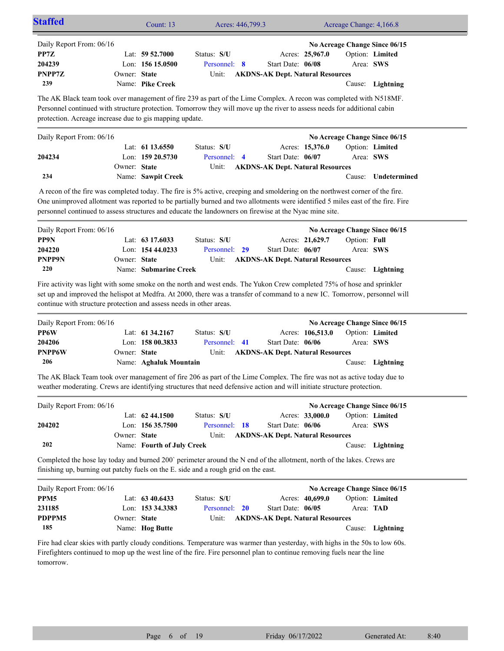| <b>Staffed</b>                                                                                                                                                                                                                                                                                                              |                                                                                                                                                                                                                | Count: 13                                                       | Acres: 446,799.3                                                                                                             |                                                                                 |  | Acreage Change: 4,166.8   |                                                                      |  |
|-----------------------------------------------------------------------------------------------------------------------------------------------------------------------------------------------------------------------------------------------------------------------------------------------------------------------------|----------------------------------------------------------------------------------------------------------------------------------------------------------------------------------------------------------------|-----------------------------------------------------------------|------------------------------------------------------------------------------------------------------------------------------|---------------------------------------------------------------------------------|--|---------------------------|----------------------------------------------------------------------|--|
| Daily Report From: 06/16<br>PP7Z<br>204239<br>PNPP7Z<br>239                                                                                                                                                                                                                                                                 | Owner: State                                                                                                                                                                                                   | Lat: $59\,52.7000$<br>Lon: 156 15.0500<br>Name: Pike Creek      | Status: S/U<br>Personnel: 8<br>Unit:                                                                                         | Acres: 25,967.0<br>Start Date: 06/08<br><b>AKDNS-AK Dept. Natural Resources</b> |  | Area: SWS                 | No Acreage Change Since 06/15<br>Option: Limited<br>Cause: Lightning |  |
| The AK Black team took over management of fire 239 as part of the Lime Complex. A recon was completed with N518MF.<br>Personnel continued with structure protection. Tomorrow they will move up the river to assess needs for additional cabin<br>protection. Acreage increase due to gis mapping update.                   |                                                                                                                                                                                                                |                                                                 |                                                                                                                              |                                                                                 |  |                           |                                                                      |  |
| Daily Report From: 06/16                                                                                                                                                                                                                                                                                                    |                                                                                                                                                                                                                | Lat: $61\,13.6550$                                              | Status: S/U                                                                                                                  | Acres: 15,376.0                                                                 |  |                           | No Acreage Change Since 06/15<br>Option: Limited                     |  |
| 204234                                                                                                                                                                                                                                                                                                                      | Owner: State                                                                                                                                                                                                   | Lon: $159\,20.5730$                                             | Personnel: 4<br>Unit:                                                                                                        | Start Date: 06/07<br><b>AKDNS-AK Dept. Natural Resources</b>                    |  | Area: SWS                 |                                                                      |  |
| 234                                                                                                                                                                                                                                                                                                                         |                                                                                                                                                                                                                | Name: Sawpit Creek                                              |                                                                                                                              |                                                                                 |  | Cause:                    | Undetermined                                                         |  |
| One unimproved allotment was reported to be partially burned and two allotments were identified 5 miles east of the fire. Fire<br>personnel continued to assess structures and educate the landowners on firewise at the Nyac mine site.                                                                                    |                                                                                                                                                                                                                |                                                                 | A recon of the fire was completed today. The fire is 5% active, creeping and smoldering on the northwest corner of the fire. |                                                                                 |  |                           |                                                                      |  |
| Daily Report From: 06/16                                                                                                                                                                                                                                                                                                    |                                                                                                                                                                                                                |                                                                 |                                                                                                                              |                                                                                 |  |                           | No Acreage Change Since 06/15                                        |  |
| PP9N<br>204220<br>PNPP9N<br>220                                                                                                                                                                                                                                                                                             | Owner: State                                                                                                                                                                                                   | Lat: $63\,17.6033$<br>Lon: 154 44.0233<br>Name: Submarine Creek | Status: S/U<br>Personnel: 29<br>Unit:                                                                                        | Acres: 21,629.7<br>Start Date: 06/07<br><b>AKDNS-AK Dept. Natural Resources</b> |  | Option: Full<br>Area: SWS | Cause: Lightning                                                     |  |
| Fire activity was light with some smoke on the north and west ends. The Yukon Crew completed 75% of hose and sprinkler<br>set up and improved the helispot at Medfra. At 2000, there was a transfer of command to a new IC. Tomorrow, personnel will<br>continue with structure protection and assess needs in other areas. |                                                                                                                                                                                                                |                                                                 |                                                                                                                              |                                                                                 |  |                           |                                                                      |  |
| Daily Report From: 06/16                                                                                                                                                                                                                                                                                                    |                                                                                                                                                                                                                |                                                                 |                                                                                                                              |                                                                                 |  |                           | No Acreage Change Since 06/15                                        |  |
| PP6W                                                                                                                                                                                                                                                                                                                        |                                                                                                                                                                                                                | Lat: $61\,34.2167$                                              | Status: S/U                                                                                                                  | Acres: 106,513.0                                                                |  |                           | Option: Limited                                                      |  |
| 204206<br>PNPP6W                                                                                                                                                                                                                                                                                                            | Owner: State                                                                                                                                                                                                   | Lon: 158 00.3833                                                | Personnel: 41<br>Unit:                                                                                                       | Start Date: 06/06<br><b>AKDNS-AK Dept. Natural Resources</b>                    |  | Area: SWS                 |                                                                      |  |
| 206                                                                                                                                                                                                                                                                                                                         |                                                                                                                                                                                                                | Name: Aghaluk Mountain                                          |                                                                                                                              |                                                                                 |  |                           | Cause: Lightning                                                     |  |
| The AK Black Team took over management of fire 206 as part of the Lime Complex. The fire was not as active today due to<br>weather moderating. Crews are identifying structures that need defensive action and will initiate structure protection.                                                                          |                                                                                                                                                                                                                |                                                                 |                                                                                                                              |                                                                                 |  |                           |                                                                      |  |
| Daily Report From: 06/16                                                                                                                                                                                                                                                                                                    |                                                                                                                                                                                                                |                                                                 |                                                                                                                              |                                                                                 |  |                           | No Acreage Change Since 06/15                                        |  |
| 204202                                                                                                                                                                                                                                                                                                                      |                                                                                                                                                                                                                | Lat: 62 44.1500<br>Lon: 156 35.7500                             | Status: S/U<br>Personnel: 18                                                                                                 | Acres: 33,000.0<br>Start Date: 06/06                                            |  | Area: SWS                 | Option: Limited                                                      |  |
| 202                                                                                                                                                                                                                                                                                                                         | Owner: State                                                                                                                                                                                                   | Name: Fourth of July Creek                                      | Unit:                                                                                                                        | <b>AKDNS-AK Dept. Natural Resources</b>                                         |  |                           | Cause: Lightning                                                     |  |
|                                                                                                                                                                                                                                                                                                                             | Completed the hose lay today and burned 200' perimeter around the N end of the allotment, north of the lakes. Crews are<br>finishing up, burning out patchy fuels on the E. side and a rough grid on the east. |                                                                 |                                                                                                                              |                                                                                 |  |                           |                                                                      |  |
| Daily Report From: 06/16<br>PPM <sub>5</sub><br>231185<br>PDPPM5<br>185                                                                                                                                                                                                                                                     | Owner: State                                                                                                                                                                                                   | Lat: 63 40.6433<br>Lon: 153 34.3383<br>Name: Hog Butte          | Status: S/U<br>Personnel: 20<br>Unit:                                                                                        | Acres: 40,699.0<br>Start Date: 06/05<br><b>AKDNS-AK Dept. Natural Resources</b> |  | Area: TAD                 | No Acreage Change Since 06/15<br>Option: Limited<br>Cause: Lightning |  |
| Fire had clear skies with partly cloudy conditions. Temperature was warmer than vesterday, with highs in the 50s to low 60s.                                                                                                                                                                                                |                                                                                                                                                                                                                |                                                                 |                                                                                                                              |                                                                                 |  |                           |                                                                      |  |

Fire had clear skies with partly cloudy conditions. Temperature was warmer than yesterday, with highs in the 50s to low 60s. Firefighters continued to mop up the west line of the fire. Fire personnel plan to continue removing fuels near the line tomorrow.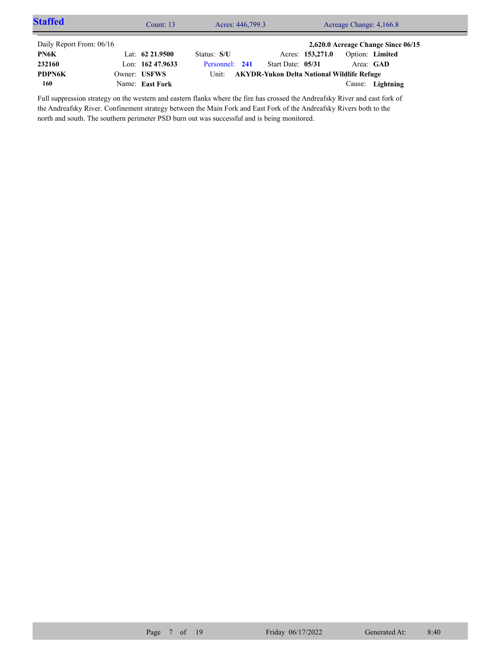| <b>Staffed</b>           | Count: $13$        | Acres: 446,799.3 | Acreage Change: 4,166.8                           |                  |           |                                    |  |
|--------------------------|--------------------|------------------|---------------------------------------------------|------------------|-----------|------------------------------------|--|
| Daily Report From: 06/16 |                    |                  |                                                   |                  |           | 2,620.0 Acreage Change Since 06/15 |  |
| PN6K                     | Lat: $62\,21.9500$ | Status: S/U      |                                                   | Acres: 153,271.0 |           | Option: Limited                    |  |
| 232160                   | Lon: $16247.9633$  | Personnel: 241   | Start Date: 05/31                                 |                  | Area: GAD |                                    |  |
| <b>PDPN6K</b>            | Owner: USFWS       | Unit:            | <b>AKYDR-Yukon Delta National Wildlife Refuge</b> |                  |           |                                    |  |
| 160                      | Name: East Fork    |                  |                                                   |                  |           | Cause: Lightning                   |  |

Full suppression strategy on the western and eastern flanks where the fire has crossed the Andreafsky River and east fork of the Andreafsky River. Confinement strategy between the Main Fork and East Fork of the Andreafsky Rivers both to the north and south. The southern perimeter PSD burn out was successful and is being monitored.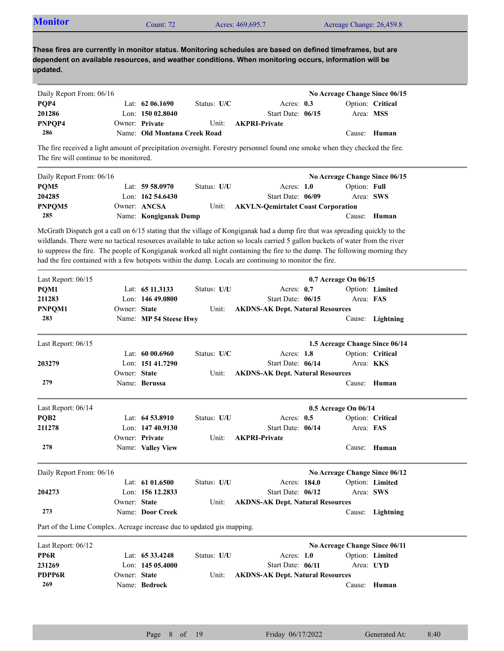| <b>Monitor</b> | Count: $72$ | Acres: 469,695.7 | Acreage Change: 26,459.8 |
|----------------|-------------|------------------|--------------------------|
|----------------|-------------|------------------|--------------------------|

| Daily Report From: 06/16 |                              |               |                            | No Acreage Change Since 06/15 |              |
|--------------------------|------------------------------|---------------|----------------------------|-------------------------------|--------------|
| POP4                     | Lat: $62\,06.1690$           | Status: $U/C$ | Acres: $0.3$               | Option: Critical              |              |
| 201286                   | Lon: $15002.8040$            |               | Start Date: 06/15          | Area: MSS                     |              |
| PNPOP4                   | Owner: Private               |               | Unit: <b>AKPRI-Private</b> |                               |              |
| 286                      | Name: Old Montana Creek Road |               |                            |                               | Cause: Human |

The fire received a light amount of precipitation overnight. Forestry personnel found one smoke when they checked the fire. The fire will continue to be monitored.

| Daily Report From: 06/16 |                       |             |                                          | No Acreage Change Since 06/15 |              |
|--------------------------|-----------------------|-------------|------------------------------------------|-------------------------------|--------------|
| POM <sub>5</sub>         | Lat: $59\,58.0970$    | Status: U/U | Acres: $1.0$                             | Option: Full                  |              |
| 204285                   | Lon: $16254.6430$     |             | Start Date: 06/09                        | Area: SWS                     |              |
| PNPOM <sub>5</sub>       | Owner: ANCSA          |             | Unit: AKVLN-Oemirtalet Coast Corporation |                               |              |
| 285                      | Name: Kongiganak Dump |             |                                          |                               | Cause: Human |

McGrath Dispatch got a call on 6/15 stating that the village of Kongiganak had a dump fire that was spreading quickly to the wildlands. There were no tactical resources available to take action so locals carried 5 gallon buckets of water from the river to suppress the fire. The people of Kongiganak worked all night containing the fire to the dump. The following morning they had the fire contained with a few hotspots within the dump. Locals are continuing to monitor the fire.

| Last Report: 06/15                                                     |              |                        |             |                                         | 0.7 Acreage On 06/15           |                  |
|------------------------------------------------------------------------|--------------|------------------------|-------------|-----------------------------------------|--------------------------------|------------------|
| PQM1                                                                   |              | Lat: 65 11.3133        | Status: U/U | Acres: 0.7                              |                                | Option: Limited  |
| 211283                                                                 |              | Lon: 146 49.0800       |             | Start Date: 06/15                       | Area: FAS                      |                  |
| PNPOM1                                                                 | Owner: State |                        | Unit:       | <b>AKDNS-AK Dept. Natural Resources</b> |                                |                  |
| 283                                                                    |              | Name: MP 54 Steese Hwy |             |                                         |                                | Cause: Lightning |
| Last Report: 06/15                                                     |              |                        |             |                                         | 1.5 Acreage Change Since 06/14 |                  |
|                                                                        |              | Lat: $6000.6960$       | Status: U/C | Acres: 1.8                              |                                | Option: Critical |
| 203279                                                                 |              | Lon: 151 41.7290       |             | Start Date: 06/14                       | Area: KKS                      |                  |
|                                                                        | Owner: State |                        | Unit:       | <b>AKDNS-AK Dept. Natural Resources</b> |                                |                  |
| 279                                                                    |              | Name: Berussa          |             |                                         |                                | Cause: Human     |
| Last Report: 06/14                                                     |              |                        |             |                                         | 0.5 Acreage On 06/14           |                  |
| PQB <sub>2</sub>                                                       |              | Lat: 64 53.8910        | Status: U/U | Acres: $0.5$                            |                                | Option: Critical |
| 211278                                                                 |              | Lon: 147 40.9130       |             | Start Date: 06/14                       | Area: FAS                      |                  |
|                                                                        |              | Owner: Private         | Unit:       | <b>AKPRI-Private</b>                    |                                |                  |
| 278                                                                    |              | Name: Valley View      |             |                                         |                                | Cause: Human     |
| Daily Report From: 06/16                                               |              |                        |             |                                         | No Acreage Change Since 06/12  |                  |
|                                                                        |              | Lat: 61 01.6500        | Status: U/U | Acres: 184.0                            |                                | Option: Limited  |
| 204273                                                                 |              | Lon: 156 12.2833       |             | Start Date: 06/12                       | Area: SWS                      |                  |
|                                                                        | Owner: State |                        | Unit:       | <b>AKDNS-AK Dept. Natural Resources</b> |                                |                  |
| 273                                                                    |              | Name: Door Creek       |             |                                         |                                | Cause: Lightning |
| Part of the Lime Complex. Acreage increase due to updated gis mapping. |              |                        |             |                                         |                                |                  |
| Last Report: 06/12                                                     |              |                        |             |                                         | No Acreage Change Since 06/11  |                  |
| PP6R                                                                   |              | Lat: 65 33.4248        | Status: U/U | Acres: $1.0$                            |                                | Option: Limited  |
| 231269                                                                 |              | Lon: 145 05.4000       |             | Start Date: 06/11                       | Area: UYD                      |                  |
| <b>PDPP6R</b>                                                          | Owner: State |                        | Unit:       | <b>AKDNS-AK Dept. Natural Resources</b> |                                |                  |
| 269                                                                    |              | Name: Bedrock          |             |                                         | Cause:                         | Human            |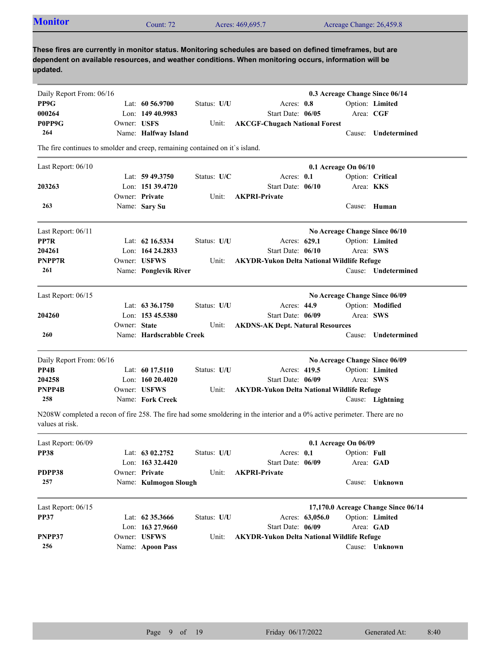| <b>Monitor</b>                                                                                                                                                                                                                  |              | Count: 72                |             | Acres: 469,695.7                                  |                 | Acreage Change: 26,459.8       |                                     |
|---------------------------------------------------------------------------------------------------------------------------------------------------------------------------------------------------------------------------------|--------------|--------------------------|-------------|---------------------------------------------------|-----------------|--------------------------------|-------------------------------------|
| These fires are currently in monitor status. Monitoring schedules are based on defined timeframes, but are<br>dependent on available resources, and weather conditions. When monitoring occurs, information will be<br>updated. |              |                          |             |                                                   |                 |                                |                                     |
| Daily Report From: 06/16                                                                                                                                                                                                        |              |                          |             |                                                   |                 | 0.3 Acreage Change Since 06/14 |                                     |
| PP9G                                                                                                                                                                                                                            |              | Lat: $60\,56.9700$       | Status: U/U | Acres: 0.8                                        |                 |                                | Option: Limited                     |
| 000264                                                                                                                                                                                                                          |              | Lon: 149 40.9983         |             | Start Date: 06/05                                 |                 | Area: CGF                      |                                     |
| P0PP9G                                                                                                                                                                                                                          | Owner: USFS  |                          | Unit:       | <b>AKCGF-Chugach National Forest</b>              |                 |                                |                                     |
| 264                                                                                                                                                                                                                             |              | Name: Halfway Island     |             |                                                   |                 |                                | Cause: Undetermined                 |
| The fire continues to smolder and creep, remaining contained on it's island.                                                                                                                                                    |              |                          |             |                                                   |                 |                                |                                     |
| Last Report: 06/10                                                                                                                                                                                                              |              |                          |             |                                                   |                 | 0.1 Acreage On 06/10           |                                     |
|                                                                                                                                                                                                                                 |              | Lat: $59\,49.3750$       | Status: U/C | Acres: 0.1                                        |                 |                                | Option: Critical                    |
| 203263                                                                                                                                                                                                                          |              | Lon: 151 39.4720         |             | Start Date: 06/10                                 |                 |                                | Area: <b>KKS</b>                    |
|                                                                                                                                                                                                                                 |              | Owner: Private           | Unit:       | <b>AKPRI-Private</b>                              |                 |                                |                                     |
| 263                                                                                                                                                                                                                             |              | Name: Sary Su            |             |                                                   |                 |                                | Cause: Human                        |
| Last Report: 06/11                                                                                                                                                                                                              |              |                          |             |                                                   |                 | No Acreage Change Since 06/10  |                                     |
| PP7R                                                                                                                                                                                                                            |              | Lat: 62 16.5334          | Status: U/U |                                                   | Acres: 629.1    |                                | Option: Limited                     |
| 204261                                                                                                                                                                                                                          |              | Lon: 164 24.2833         |             | Start Date: 06/10                                 |                 | Area: SWS                      |                                     |
| PNPP7R                                                                                                                                                                                                                          |              | Owner: USFWS             | Unit:       | <b>AKYDR-Yukon Delta National Wildlife Refuge</b> |                 |                                |                                     |
| 261                                                                                                                                                                                                                             |              | Name: Ponglevik River    |             |                                                   |                 |                                | Cause: Undetermined                 |
| Last Report: 06/15                                                                                                                                                                                                              |              |                          |             |                                                   |                 | No Acreage Change Since 06/09  |                                     |
|                                                                                                                                                                                                                                 |              | Lat: $63\,36.1750$       | Status: U/U |                                                   | Acres: 44.9     |                                | Option: Modified                    |
| 204260                                                                                                                                                                                                                          |              | Lon: $15345.5380$        |             | Start Date: 06/09                                 |                 | Area: SWS                      |                                     |
|                                                                                                                                                                                                                                 | Owner: State |                          | Unit:       | <b>AKDNS-AK Dept. Natural Resources</b>           |                 |                                |                                     |
| 260                                                                                                                                                                                                                             |              | Name: Hardscrabble Creek |             |                                                   |                 | Cause:                         | Undetermined                        |
| Daily Report From: 06/16                                                                                                                                                                                                        |              |                          |             |                                                   |                 | No Acreage Change Since 06/09  |                                     |
| PP4B                                                                                                                                                                                                                            |              | Lat: 60 17.5110          | Status: U/U |                                                   | Acres: 419.5    |                                | Option: Limited                     |
| 204258                                                                                                                                                                                                                          |              | Lon: $16020.4020$        |             | Start Date: 06/09                                 |                 | Area: SWS                      |                                     |
| PNPP4B                                                                                                                                                                                                                          |              | Owner: USFWS             | Unit:       | <b>AKYDR-Yukon Delta National Wildlife Refuge</b> |                 |                                |                                     |
| 258                                                                                                                                                                                                                             |              | Name: Fork Creek         |             |                                                   |                 |                                | Cause: Lightning                    |
| N208W completed a recon of fire 258. The fire had some smoldering in the interior and a 0% active perimeter. There are no<br>values at risk.                                                                                    |              |                          |             |                                                   |                 |                                |                                     |
| Last Report: 06/09                                                                                                                                                                                                              |              |                          |             |                                                   |                 | 0.1 Acreage On 06/09           |                                     |
| <b>PP38</b>                                                                                                                                                                                                                     |              | Lat: $6302,2752$         | Status: U/U | Acres: 0.1                                        |                 | Option: Full                   |                                     |
|                                                                                                                                                                                                                                 |              | Lon: 163 32.4420         |             | Start Date: 06/09                                 |                 |                                | Area: GAD                           |
| PDPP38                                                                                                                                                                                                                          |              | Owner: Private           | Unit:       | <b>AKPRI-Private</b>                              |                 |                                |                                     |
| 257                                                                                                                                                                                                                             |              | Name: Kulmogon Slough    |             |                                                   |                 |                                | Cause: Unknown                      |
| Last Report: 06/15                                                                                                                                                                                                              |              |                          |             |                                                   |                 |                                | 17,170.0 Acreage Change Since 06/14 |
| <b>PP37</b>                                                                                                                                                                                                                     |              | Lat: 62 35.3666          | Status: U/U |                                                   | Acres: 63,056.0 |                                | Option: Limited                     |
|                                                                                                                                                                                                                                 |              | Lon: $163\,27.9660$      |             | Start Date: 06/09                                 |                 |                                | Area: GAD                           |
| PNPP37                                                                                                                                                                                                                          |              | Owner: USFWS             | Unit:       | <b>AKYDR-Yukon Delta National Wildlife Refuge</b> |                 |                                |                                     |
| 256                                                                                                                                                                                                                             |              | Name: Apoon Pass         |             |                                                   |                 |                                | Cause: Unknown                      |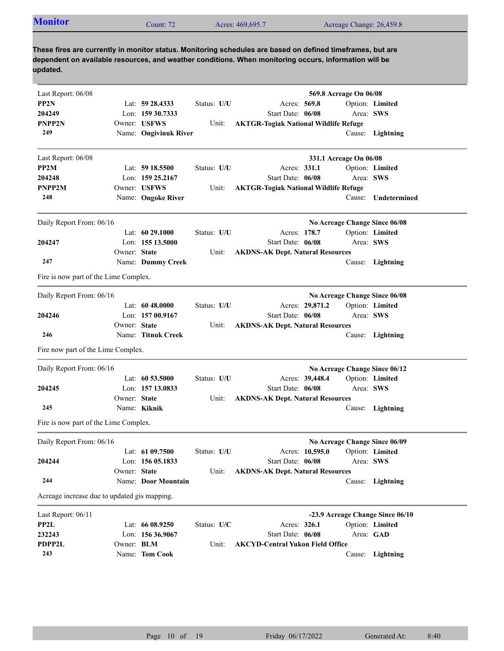| <b>Monitor</b>                        |              | Count: 72             |             | Acres: 469,695.7                                                                                                                                                                                                    |                 | Acreage Change: 26,459.8 |                               |
|---------------------------------------|--------------|-----------------------|-------------|---------------------------------------------------------------------------------------------------------------------------------------------------------------------------------------------------------------------|-----------------|--------------------------|-------------------------------|
| updated.                              |              |                       |             | These fires are currently in monitor status. Monitoring schedules are based on defined timeframes, but are<br>dependent on available resources, and weather conditions. When monitoring occurs, information will be |                 |                          |                               |
| Last Report: 06/08                    |              |                       |             |                                                                                                                                                                                                                     |                 | 569.8 Acreage On 06/08   |                               |
| PP <sub>2N</sub>                      |              | Lat: $59\,28.4333$    | Status: U/U | Acres: 569.8                                                                                                                                                                                                        |                 |                          | Option: Limited               |
| 204249                                |              | Lon: $15930.7333$     |             | Start Date: 06/08                                                                                                                                                                                                   |                 | Area: SWS                |                               |
| <b>PNPP2N</b>                         |              | Owner: USFWS          | Unit:       | <b>AKTGR-Togiak National Wildlife Refuge</b>                                                                                                                                                                        |                 |                          |                               |
| 249                                   |              | Name: Ongivinuk River |             |                                                                                                                                                                                                                     |                 | Cause:                   | Lightning                     |
| Last Report: 06/08                    |              |                       |             |                                                                                                                                                                                                                     |                 | 331.1 Acreage On 06/08   |                               |
| PP <sub>2</sub> M                     |              | Lat: $5918.5500$      | Status: U/U | Acres: 331.1                                                                                                                                                                                                        |                 |                          | Option: Limited               |
| 204248                                |              | Lon: $15925.2167$     |             | Start Date: 06/08                                                                                                                                                                                                   |                 |                          | Area: SWS                     |
| <b>PNPP2M</b>                         |              | Owner: USFWS          | Unit:       | <b>AKTGR-Togiak National Wildlife Refuge</b>                                                                                                                                                                        |                 |                          |                               |
| 248                                   |              | Name: Ongoke River    |             |                                                                                                                                                                                                                     |                 | Cause:                   | Undetermined                  |
| Daily Report From: 06/16              |              |                       |             |                                                                                                                                                                                                                     |                 |                          | No Acreage Change Since 06/08 |
|                                       |              | Lat: $6029.1000$      | Status: U/U | Acres: 178.7                                                                                                                                                                                                        |                 |                          | Option: Limited               |
| 204247                                |              | Lon: 155 13.5000      |             | Start Date: 06/08                                                                                                                                                                                                   |                 | Area: SWS                |                               |
|                                       | Owner: State |                       | Unit:       | <b>AKDNS-AK Dept. Natural Resources</b>                                                                                                                                                                             |                 |                          |                               |
| 247                                   |              | Name: Dummy Creek     |             |                                                                                                                                                                                                                     |                 |                          | Cause: Lightning              |
| Fire is now part of the Lime Complex. |              |                       |             |                                                                                                                                                                                                                     |                 |                          |                               |
| Daily Report From: 06/16              |              |                       |             |                                                                                                                                                                                                                     |                 |                          | No Acreage Change Since 06/08 |
|                                       |              | Lat: $6048.0000$      | Status: U/U |                                                                                                                                                                                                                     | Acres: 29,871.2 |                          | Option: Limited               |
| 204246                                |              | Lon: 157 00.9167      |             | Start Date: 06/08                                                                                                                                                                                                   |                 | Area: SWS                |                               |
|                                       | Owner: State |                       | Unit:       | <b>AKDNS-AK Dept. Natural Resources</b>                                                                                                                                                                             |                 |                          |                               |
| 246                                   |              | Name: Titnuk Creek    |             |                                                                                                                                                                                                                     |                 |                          | Cause: Lightning              |
| Fire now part of the Lime Complex.    |              |                       |             |                                                                                                                                                                                                                     |                 |                          |                               |
| Daily Report From: 06/16              |              |                       |             |                                                                                                                                                                                                                     |                 |                          | No Acreage Change Since 06/12 |
|                                       |              | Lat: 60 53.5000       | Status: U/U |                                                                                                                                                                                                                     | Acres: 39,448.4 |                          | Option: Limited               |
| 204245                                |              | Lon: 157 13.0833      |             | Start Date: 06/08                                                                                                                                                                                                   |                 | Area: SWS                |                               |
|                                       | Owner: State |                       | Unit:       | <b>AKDNS-AK Dept. Natural Resources</b>                                                                                                                                                                             |                 |                          |                               |
| 245                                   |              | Name: Kiknik          |             |                                                                                                                                                                                                                     |                 |                          | Cause: Lightning              |
| Fire is now part of the Lime Complex. |              |                       |             |                                                                                                                                                                                                                     |                 |                          |                               |
| Daily Report From: 06/16              |              |                       |             |                                                                                                                                                                                                                     |                 |                          | No Acreage Change Since 06/09 |
|                                       |              | Lat: 61 09.7500       | Status: U/U |                                                                                                                                                                                                                     | Acres: 10,595.0 |                          | Option: Limited               |
| 204244                                |              | Lon: 156 05.1833      |             | Start Date: 06/08                                                                                                                                                                                                   |                 | Area: SWS                |                               |
|                                       | Owner: State |                       | Unit:       | <b>AKDNS-AK Dept. Natural Resources</b>                                                                                                                                                                             |                 |                          |                               |

Acreage increase due to updated gis mapping.

**244**

Name: **Door Mountain**

| Last Report: $06/11$ |                   |                   |               |                                        |           | -23.9 Acreage Change Since 06/10 |
|----------------------|-------------------|-------------------|---------------|----------------------------------------|-----------|----------------------------------|
| PP2L                 |                   | Lat: 66 08.9250   | Status: $U/C$ | Acres: 326.1                           |           | Option: Limited                  |
| 232243               |                   | Lon: $15636.9067$ |               | Start Date: 06/08                      | Area: GAD |                                  |
| <b>PDPP2L</b>        | Owner: <b>BLM</b> |                   |               | Unit: AKCYD-Central Yukon Field Office |           |                                  |
| 243                  |                   | Name: Tom Cook    |               |                                        |           | Cause: Lightning                 |

Cause: **Lightning**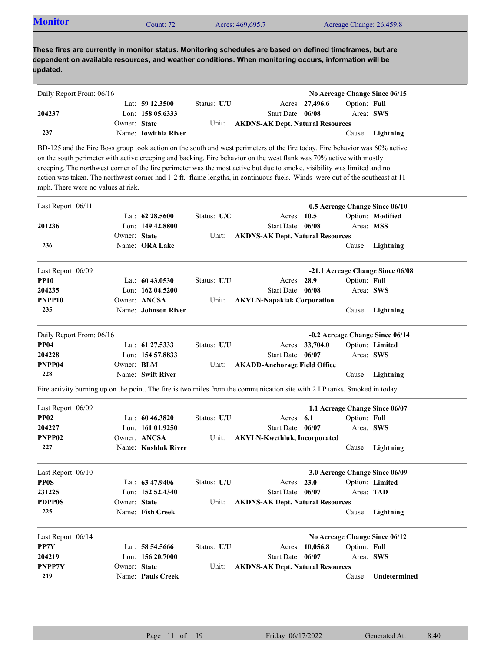| <b>Monitor</b><br>Acres: 469,695.7<br>Acreage Change: 26,459.8<br>Count: $72°$ |  |
|--------------------------------------------------------------------------------|--|
|--------------------------------------------------------------------------------|--|

| Daily Report From: 06/16 |              |                      |             |                                         |                 |              | No Acreage Change Since 06/15 |
|--------------------------|--------------|----------------------|-------------|-----------------------------------------|-----------------|--------------|-------------------------------|
|                          |              | Lat: $59\,12.3500$   | Status: U/U |                                         | Acres: 27,496.6 | Option: Full |                               |
| 204237                   |              | Lon: $15805.6333$    |             | Start Date: 06/08                       |                 | Area: SWS    |                               |
|                          | Owner: State |                      | Unit:       | <b>AKDNS-AK Dept. Natural Resources</b> |                 |              |                               |
| 237                      |              | Name: Iowithla River |             |                                         |                 |              | Cause: Lightning              |

BD-125 and the Fire Boss group took action on the south and west perimeters of the fire today. Fire behavior was 60% active on the south perimeter with active creeping and backing. Fire behavior on the west flank was 70% active with mostly creeping. The northwest corner of the fire perimeter was the most active but due to smoke, visibility was limited and no action was taken. The northwest corner had 1-2 ft. flame lengths, in continuous fuels. Winds were out of the southeast at 11 mph. There were no values at risk.

| Last Report: 06/11       |              |                     |             |                                                                                                                            | 0.5 Acreage Change Since 06/10  |                                  |
|--------------------------|--------------|---------------------|-------------|----------------------------------------------------------------------------------------------------------------------------|---------------------------------|----------------------------------|
|                          |              | Lat: 62 28.5600     | Status: U/C | Acres: 10.5                                                                                                                |                                 | Option: Modified                 |
| 201236                   |              | Lon: $14942.8800$   |             | Start Date: 06/08                                                                                                          |                                 | Area: MSS                        |
|                          | Owner: State |                     | Unit:       | <b>AKDNS-AK Dept. Natural Resources</b>                                                                                    |                                 |                                  |
| 236                      |              | Name: ORA Lake      |             |                                                                                                                            |                                 | Cause: Lightning                 |
| Last Report: 06/09       |              |                     |             |                                                                                                                            |                                 | -21.1 Acreage Change Since 06/08 |
| <b>PP10</b>              |              | Lat: $6043.0530$    | Status: U/U | Acres: 28.9                                                                                                                | Option: Full                    |                                  |
| 204235                   |              | Lon: $16204.5200$   |             | Start Date: 06/08                                                                                                          |                                 | Area: SWS                        |
| PNPP <sub>10</sub>       |              | Owner: ANCSA        | Unit:       | <b>AKVLN-Napakiak Corporation</b>                                                                                          |                                 |                                  |
| 235                      |              | Name: Johnson River |             |                                                                                                                            |                                 | Cause: Lightning                 |
| Daily Report From: 06/16 |              |                     |             |                                                                                                                            | -0.2 Acreage Change Since 06/14 |                                  |
| <b>PP04</b>              |              | Lat: 61 27.5333     | Status: U/U | Acres: 33,704.0                                                                                                            |                                 | Option: Limited                  |
| 204228                   |              | Lon: 154 57.8833    |             | Start Date: 06/07                                                                                                          |                                 | Area: SWS                        |
| PNPP04                   | Owner: BLM   |                     | Unit:       | <b>AKADD-Anchorage Field Office</b>                                                                                        |                                 |                                  |
| 228                      |              | Name: Swift River   |             |                                                                                                                            |                                 | Cause: Lightning                 |
|                          |              |                     |             | Fire activity burning up on the point. The fire is two miles from the communication site with 2 LP tanks. Smoked in today. |                                 |                                  |
| Last Report: 06/09       |              |                     |             |                                                                                                                            | 1.1 Acreage Change Since 06/07  |                                  |
| <b>PP02</b>              |              | Lat: 60 46.3820     | Status: U/U | Acres: $6.1$                                                                                                               | Option: Full                    |                                  |
| 204227                   |              | Lon: $16101.9250$   |             | Start Date: 06/07                                                                                                          |                                 | Area: SWS                        |
| PNPP <sub>02</sub>       |              | Owner: ANCSA        | Unit:       | <b>AKVLN-Kwethluk, Incorporated</b>                                                                                        |                                 |                                  |
| 227                      |              | Name: Kushluk River |             |                                                                                                                            |                                 | Cause: Lightning                 |
| Last Report: 06/10       |              |                     |             |                                                                                                                            | 3.0 Acreage Change Since 06/09  |                                  |
| <b>PP0S</b>              |              | Lat: $63\,47.9406$  | Status: U/U | Acres: 23.0                                                                                                                |                                 | Option: Limited                  |
| 231225                   |              | Lon: 152 52.4340    |             | Start Date: 06/07                                                                                                          |                                 | Area: TAD                        |
| <b>PDPP0S</b>            | Owner: State |                     | Unit:       | <b>AKDNS-AK Dept. Natural Resources</b>                                                                                    |                                 |                                  |
| 225                      |              | Name: Fish Creek    |             |                                                                                                                            | Cause:                          | Lightning                        |
| Last Report: 06/14       |              |                     |             |                                                                                                                            | No Acreage Change Since 06/12   |                                  |
| PP7Y                     |              | Lat: $58\,54.5666$  | Status: U/U | Acres: 10,056.8                                                                                                            | Option: Full                    |                                  |
| 204219                   |              | Lon: $15620.7000$   |             | Start Date: 06/07                                                                                                          |                                 | Area: SWS                        |
| <b>PNPP7Y</b>            | Owner: State |                     | Unit:       | <b>AKDNS-AK Dept. Natural Resources</b>                                                                                    |                                 |                                  |
| 219                      |              | Name: Pauls Creek   |             |                                                                                                                            |                                 | Cause: Undetermined              |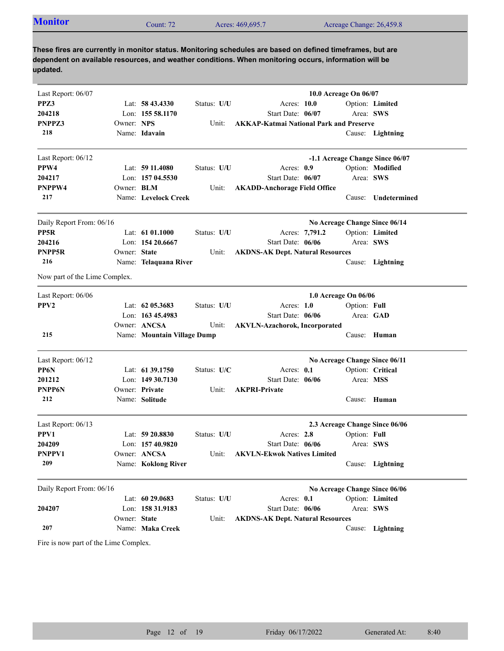| <b>Monitor</b> | ount: 72: | Acres: 469,695.7 | Acreage Change: 26,459.8 |
|----------------|-----------|------------------|--------------------------|
|                |           |                  |                          |

| Last Report: 06/07            |                   |                             |             |                                                | 10.0 Acreage On 06/07           |                     |
|-------------------------------|-------------------|-----------------------------|-------------|------------------------------------------------|---------------------------------|---------------------|
| PPZ3                          |                   | Lat: $58\,43.4330$          | Status: U/U | Acres: 10.0                                    |                                 | Option: Limited     |
| 204218                        |                   | Lon: 155 58.1170            |             | Start Date: 06/07                              | Area: SWS                       |                     |
| PNPPZ3                        | Owner: NPS        |                             | Unit:       | <b>AKKAP-Katmai National Park and Preserve</b> |                                 |                     |
| 218                           |                   | Name: Idavain               |             |                                                |                                 | Cause: Lightning    |
| Last Report: 06/12            |                   |                             |             |                                                | -1.1 Acreage Change Since 06/07 |                     |
| PPW4                          |                   | Lat: $5911.4080$            | Status: U/U | Acres: 0.9                                     |                                 | Option: Modified    |
| 204217                        |                   | Lon: 157 04.5530            |             | Start Date: 06/07                              | Area: SWS                       |                     |
| PNPPW4                        | Owner: <b>BLM</b> |                             | Unit:       | <b>AKADD-Anchorage Field Office</b>            |                                 |                     |
| 217                           |                   | Name: Levelock Creek        |             |                                                |                                 | Cause: Undetermined |
| Daily Report From: 06/16      |                   |                             |             |                                                | No Acreage Change Since 06/14   |                     |
| PP5R                          |                   | Lat: $6101.1000$            | Status: U/U | Acres: 7,791.2                                 |                                 | Option: Limited     |
| 204216                        |                   | Lon: 154 20.6667            |             | Start Date: 06/06                              | Area: SWS                       |                     |
| PNPP5R                        | Owner: State      |                             | Unit:       | <b>AKDNS-AK Dept. Natural Resources</b>        |                                 |                     |
| 216                           |                   | Name: Telaquana River       |             |                                                |                                 | Cause: Lightning    |
| Now part of the Lime Complex. |                   |                             |             |                                                |                                 |                     |
| Last Report: 06/06            |                   |                             |             |                                                | 1.0 Acreage On 06/06            |                     |
| PPV <sub>2</sub>              |                   | Lat: $62$ 05.3683           | Status: U/U | Acres: $1.0$                                   | Option: Full                    |                     |
|                               |                   | Lon: 163 45.4983            |             | Start Date: 06/06                              | Area: GAD                       |                     |
|                               |                   | Owner: ANCSA                | Unit:       | <b>AKVLN-Azachorok, Incorporated</b>           |                                 |                     |
| 215                           |                   | Name: Mountain Village Dump |             |                                                |                                 | Cause: Human        |
| Last Report: 06/12            |                   |                             |             |                                                | No Acreage Change Since 06/11   |                     |
| PP6N                          |                   | Lat: 61 39.1750             | Status: U/C | Acres: 0.1                                     |                                 | Option: Critical    |
| 201212                        |                   | Lon: 149 30.7130            |             | Start Date: 06/06                              | Area: MSS                       |                     |
| PNPP6N                        |                   | Owner: Private              | Unit:       | <b>AKPRI-Private</b>                           |                                 |                     |
| 212                           |                   | Name: Solitude              |             |                                                |                                 | Cause: Human        |
| Last Report: 06/13            |                   |                             |             |                                                | 2.3 Acreage Change Since 06/06  |                     |
| PPV1                          |                   | Lat: 59 20.8830             | Status: U/U | Acres: 2.8                                     | Option: Full                    |                     |
| 204209                        |                   | Lon: 157 40.9820            |             | Start Date: 06/06                              | Area: SWS                       |                     |
| PNPPV1                        |                   | Owner: ANCSA                | Unit:       | <b>AKVLN-Ekwok Natives Limited</b>             |                                 |                     |
| 209                           |                   | Name: Koklong River         |             |                                                |                                 | Cause: Lightning    |
| Daily Report From: 06/16      |                   |                             |             |                                                | No Acreage Change Since 06/06   |                     |
|                               |                   | Lat: 60 29.0683             | Status: U/U | Acres: 0.1                                     |                                 | Option: Limited     |
| 204207                        |                   | Lon: 158 31.9183            |             | Start Date: 06/06                              | Area: SWS                       |                     |
|                               | Owner: State      |                             | Unit:       | <b>AKDNS-AK Dept. Natural Resources</b>        |                                 |                     |
| 207                           |                   | Name: Maka Creek            |             |                                                |                                 | Cause: Lightning    |

Fire is now part of the Lime Complex.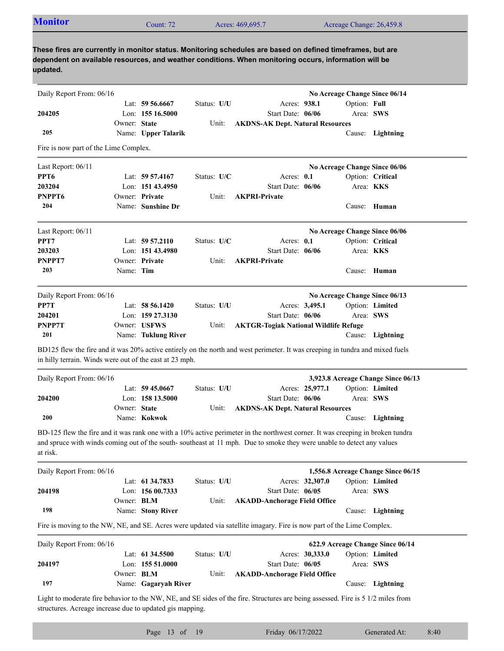| <b>Monitor</b>                                                                                        | Count: $72$ | Acres: 469,695.7 | Acreage Change: 26,459.8                                                                                   |  |  |  |  |
|-------------------------------------------------------------------------------------------------------|-------------|------------------|------------------------------------------------------------------------------------------------------------|--|--|--|--|
|                                                                                                       |             |                  | These fires are currently in monitor status. Monitoring schedules are based on defined timeframes, but are |  |  |  |  |
| dependent on available resources, and weather conditions. When monitoring occurs, information will be |             |                  |                                                                                                            |  |  |  |  |

**updated.**

| Daily Report From: 06/16                                 |              |                      |             |                                                                                                                                                                                                                                                         | No Acreage Change Since 06/14      |                  |
|----------------------------------------------------------|--------------|----------------------|-------------|---------------------------------------------------------------------------------------------------------------------------------------------------------------------------------------------------------------------------------------------------------|------------------------------------|------------------|
|                                                          |              | Lat: $59\,56.6667$   | Status: U/U | Acres: 938.1                                                                                                                                                                                                                                            | Option: Full                       |                  |
| 204205                                                   |              | Lon: $15516.5000$    |             | Start Date: 06/06                                                                                                                                                                                                                                       | Area: SWS                          |                  |
|                                                          | Owner: State |                      | Unit:       | <b>AKDNS-AK Dept. Natural Resources</b>                                                                                                                                                                                                                 |                                    |                  |
| 205                                                      |              | Name: Upper Talarik  |             |                                                                                                                                                                                                                                                         | Cause:                             | Lightning        |
| Fire is now part of the Lime Complex.                    |              |                      |             |                                                                                                                                                                                                                                                         |                                    |                  |
| Last Report: 06/11                                       |              |                      |             |                                                                                                                                                                                                                                                         | No Acreage Change Since 06/06      |                  |
| PPT6                                                     |              | Lat: $59\,57.4167$   | Status: U/C | Acres: 0.1                                                                                                                                                                                                                                              |                                    | Option: Critical |
| 203204                                                   |              | Lon: 151 43.4950     |             | Start Date: 06/06                                                                                                                                                                                                                                       | Area: KKS                          |                  |
| PNPPT6                                                   |              | Owner: Private       | Unit:       | <b>AKPRI-Private</b>                                                                                                                                                                                                                                    |                                    |                  |
| 204                                                      |              | Name: Sunshine Dr    |             |                                                                                                                                                                                                                                                         |                                    | Cause: Human     |
| Last Report: 06/11                                       |              |                      |             |                                                                                                                                                                                                                                                         | No Acreage Change Since 06/06      |                  |
| PPT7                                                     |              | Lat: $59\,57.2110$   | Status: U/C | Acres: 0.1                                                                                                                                                                                                                                              |                                    | Option: Critical |
| 203203                                                   |              | Lon: 151 43.4980     |             | Start Date: 06/06                                                                                                                                                                                                                                       | Area: KKS                          |                  |
| PNPPT7                                                   |              | Owner: Private       | Unit:       | <b>AKPRI-Private</b>                                                                                                                                                                                                                                    |                                    |                  |
| 203                                                      | Name: Tim    |                      |             |                                                                                                                                                                                                                                                         | Cause:                             | Human            |
| Daily Report From: 06/16                                 |              |                      |             |                                                                                                                                                                                                                                                         | No Acreage Change Since 06/13      |                  |
| PP7T                                                     |              | Lat: 58 56.1420      | Status: U/U | Acres: 3,495.1                                                                                                                                                                                                                                          |                                    | Option: Limited  |
| 204201                                                   |              | Lon: $159\,27.3130$  |             | Start Date: 06/06                                                                                                                                                                                                                                       | Area: SWS                          |                  |
| PNPP7T                                                   |              | Owner: USFWS         | Unit:       | <b>AKTGR-Togiak National Wildlife Refuge</b>                                                                                                                                                                                                            |                                    |                  |
| 201                                                      |              | Name: Tuklung River  |             |                                                                                                                                                                                                                                                         | Cause:                             | Lightning        |
| in hilly terrain. Winds were out of the east at 23 mph.  |              |                      |             |                                                                                                                                                                                                                                                         |                                    |                  |
| Daily Report From: 06/16                                 |              | Lat: $59\,45.0667$   | Status: U/U | Acres: 25,977.1                                                                                                                                                                                                                                         | 3,923.8 Acreage Change Since 06/13 | Option: Limited  |
| 204200                                                   |              | Lon: 158 13.5000     |             | Start Date: 06/06                                                                                                                                                                                                                                       | Area: SWS                          |                  |
|                                                          | Owner: State |                      | Unit:       |                                                                                                                                                                                                                                                         |                                    |                  |
| 200                                                      |              | Name: Kokwok         |             | <b>AKDNS-AK Dept. Natural Resources</b>                                                                                                                                                                                                                 |                                    | Cause: Lightning |
|                                                          |              |                      |             |                                                                                                                                                                                                                                                         |                                    |                  |
| at risk.                                                 |              |                      |             | BD-125 flew the fire and it was rank one with a 10% active perimeter in the northwest corner. It was creeping in broken tundra<br>and spruce with winds coming out of the south-southeast at 11 mph. Due to smoke they were unable to detect any values |                                    |                  |
| Daily Report From: 06/16                                 |              |                      |             |                                                                                                                                                                                                                                                         | 1,556.8 Acreage Change Since 06/15 |                  |
|                                                          |              | Lat: 61 34.7833      | Status: U/U | Acres: 32,307.0                                                                                                                                                                                                                                         |                                    | Option: Limited  |
| 204198                                                   |              | Lon: 156 00.7333     |             | Start Date: 06/05                                                                                                                                                                                                                                       | Area: SWS                          |                  |
|                                                          | Owner: BLM   |                      | Unit:       | <b>AKADD-Anchorage Field Office</b>                                                                                                                                                                                                                     |                                    |                  |
| 198                                                      |              | Name: Stony River    |             |                                                                                                                                                                                                                                                         |                                    | Cause: Lightning |
|                                                          |              |                      |             | Fire is moving to the NW, NE, and SE. Acres were updated via satellite imagary. Fire is now part of the Lime Complex.                                                                                                                                   |                                    |                  |
| Daily Report From: 06/16                                 |              |                      |             |                                                                                                                                                                                                                                                         | 622.9 Acreage Change Since 06/14   |                  |
|                                                          |              | Lat: 61 34.5500      | Status: U/U | Acres: 30,333.0                                                                                                                                                                                                                                         |                                    | Option: Limited  |
| 204197                                                   |              | Lon: 155 51.0000     |             | Start Date: 06/05                                                                                                                                                                                                                                       | Area: SWS                          |                  |
| 197                                                      | Owner: BLM   | Name: Gagaryah River | Unit:       | <b>AKADD-Anchorage Field Office</b>                                                                                                                                                                                                                     |                                    | Cause: Lightning |
|                                                          |              |                      |             |                                                                                                                                                                                                                                                         |                                    |                  |
| structures. Acreage increase due to updated gis mapping. |              |                      |             | Light to moderate fire behavior to the NW, NE, and SE sides of the fire. Structures are being assessed. Fire is 5 1/2 miles from                                                                                                                        |                                    |                  |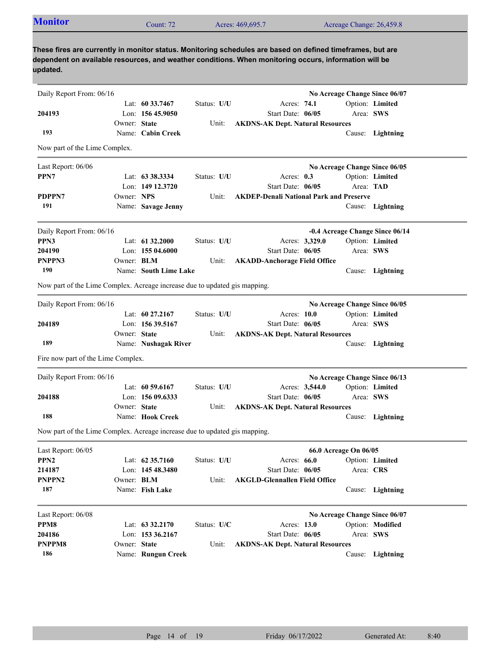| <b>Monitor</b>                                                             |                   | Count: 72             |             | Acres: 469,695.7                                                                                                                                                                                                    |                       |           | Acreage Change: 26,459.8        |
|----------------------------------------------------------------------------|-------------------|-----------------------|-------------|---------------------------------------------------------------------------------------------------------------------------------------------------------------------------------------------------------------------|-----------------------|-----------|---------------------------------|
|                                                                            |                   |                       |             |                                                                                                                                                                                                                     |                       |           |                                 |
| updated.                                                                   |                   |                       |             | These fires are currently in monitor status. Monitoring schedules are based on defined timeframes, but are<br>dependent on available resources, and weather conditions. When monitoring occurs, information will be |                       |           |                                 |
| Daily Report From: 06/16                                                   |                   |                       |             |                                                                                                                                                                                                                     |                       |           | No Acreage Change Since 06/07   |
|                                                                            |                   | Lat: $60\,33.7467$    | Status: U/U | Acres: 74.1                                                                                                                                                                                                         |                       |           | Option: Limited                 |
| 204193                                                                     |                   | Lon: $15645.9050$     |             | Start Date: 06/05                                                                                                                                                                                                   |                       |           | Area: SWS                       |
|                                                                            | Owner: State      |                       | Unit:       | <b>AKDNS-AK Dept. Natural Resources</b>                                                                                                                                                                             |                       |           |                                 |
| 193                                                                        |                   | Name: Cabin Creek     |             |                                                                                                                                                                                                                     |                       |           | Cause: Lightning                |
| Now part of the Lime Complex.                                              |                   |                       |             |                                                                                                                                                                                                                     |                       |           |                                 |
| Last Report: 06/06                                                         |                   |                       |             |                                                                                                                                                                                                                     |                       |           | No Acreage Change Since 06/05   |
| PPN7                                                                       |                   | Lat: 63 38.3334       | Status: U/U | Acres: $0.3$                                                                                                                                                                                                        |                       |           | Option: Limited                 |
|                                                                            |                   | Lon: 149 12.3720      |             | Start Date: 06/05                                                                                                                                                                                                   |                       |           | Area: TAD                       |
| PDPPN7                                                                     | Owner: NPS        |                       | Unit:       | <b>AKDEP-Denali National Park and Preserve</b>                                                                                                                                                                      |                       |           |                                 |
| 191                                                                        |                   | Name: Savage Jenny    |             |                                                                                                                                                                                                                     |                       |           | Cause: Lightning                |
| Daily Report From: 06/16                                                   |                   |                       |             |                                                                                                                                                                                                                     |                       |           | -0.4 Acreage Change Since 06/14 |
| PPN3                                                                       |                   | Lat: $61\,32.2000$    | Status: U/U | Acres: 3,329.0                                                                                                                                                                                                      |                       |           | Option: Limited                 |
| 204190                                                                     |                   | Lon: $15504.6000$     |             | Start Date: 06/05                                                                                                                                                                                                   |                       |           | Area: SWS                       |
| PNPPN3                                                                     | Owner: <b>BLM</b> |                       | Unit:       | <b>AKADD-Anchorage Field Office</b>                                                                                                                                                                                 |                       |           |                                 |
| 190                                                                        |                   | Name: South Lime Lake |             |                                                                                                                                                                                                                     |                       |           | Cause: Lightning                |
| Now part of the Lime Complex. Acreage increase due to updated gis mapping. |                   |                       |             |                                                                                                                                                                                                                     |                       |           |                                 |
| Daily Report From: 06/16                                                   |                   |                       |             |                                                                                                                                                                                                                     |                       |           | No Acreage Change Since 06/05   |
|                                                                            |                   | Lat: $60\,27.2167$    | Status: U/U | Acres: $10.0$                                                                                                                                                                                                       |                       |           | Option: Limited                 |
| 204189                                                                     |                   | Lon: $15639.5167$     |             | Start Date: 06/05                                                                                                                                                                                                   |                       |           | Area: SWS                       |
|                                                                            | Owner: State      |                       | Unit:       | <b>AKDNS-AK Dept. Natural Resources</b>                                                                                                                                                                             |                       |           |                                 |
| 189                                                                        |                   | Name: Nushagak River  |             |                                                                                                                                                                                                                     |                       |           | Cause: Lightning                |
| Fire now part of the Lime Complex.                                         |                   |                       |             |                                                                                                                                                                                                                     |                       |           |                                 |
| Daily Report From: 06/16                                                   |                   |                       |             |                                                                                                                                                                                                                     |                       |           | No Acreage Change Since 06/13   |
|                                                                            |                   | Lat: 60 59.6167       | Status: U/U | Acres: 3,544.0                                                                                                                                                                                                      |                       |           | Option: Limited                 |
| 204188                                                                     |                   | Lon: 156 09.6333      |             | Start Date: 06/05                                                                                                                                                                                                   |                       |           | Area: SWS                       |
|                                                                            | Owner: State      |                       | Unit:       | <b>AKDNS-AK Dept. Natural Resources</b>                                                                                                                                                                             |                       |           |                                 |
| 188                                                                        |                   | Name: Hook Creek      |             |                                                                                                                                                                                                                     |                       |           | Cause: Lightning                |
| Now part of the Lime Complex. Acreage increase due to updated gis mapping. |                   |                       |             |                                                                                                                                                                                                                     |                       |           |                                 |
| Last Report: 06/05                                                         |                   |                       |             |                                                                                                                                                                                                                     | 66.0 Acreage On 06/05 |           |                                 |
| PPN <sub>2</sub>                                                           |                   | Lat: 62 35.7160       | Status: U/U | Acres: 66.0                                                                                                                                                                                                         |                       |           | Option: Limited                 |
| 214187                                                                     |                   | Lon: 145 48.3480      |             | Start Date: 06/05                                                                                                                                                                                                   |                       | Area: CRS |                                 |
| PNPPN2                                                                     | Owner: BLM        |                       | Unit:       | <b>AKGLD-Glennallen Field Office</b>                                                                                                                                                                                |                       |           |                                 |
| 187                                                                        |                   | Name: Fish Lake       |             |                                                                                                                                                                                                                     |                       |           | Cause: Lightning                |
| Last Report: 06/08                                                         |                   |                       |             |                                                                                                                                                                                                                     |                       |           | No Acreage Change Since 06/07   |
| PPM8                                                                       |                   | Lat: $63\,32.2170$    | Status: U/C | Acres: 13.0                                                                                                                                                                                                         |                       |           | Option: Modified                |
| 204186                                                                     |                   | Lon: 153 36.2167      |             | Start Date: 06/05                                                                                                                                                                                                   |                       |           | Area: SWS                       |
| PNPPM8                                                                     | Owner: State      |                       | Unit:       | <b>AKDNS-AK Dept. Natural Resources</b>                                                                                                                                                                             |                       |           |                                 |
| 186                                                                        |                   | Name: Rungun Creek    |             |                                                                                                                                                                                                                     |                       |           | Cause: Lightning                |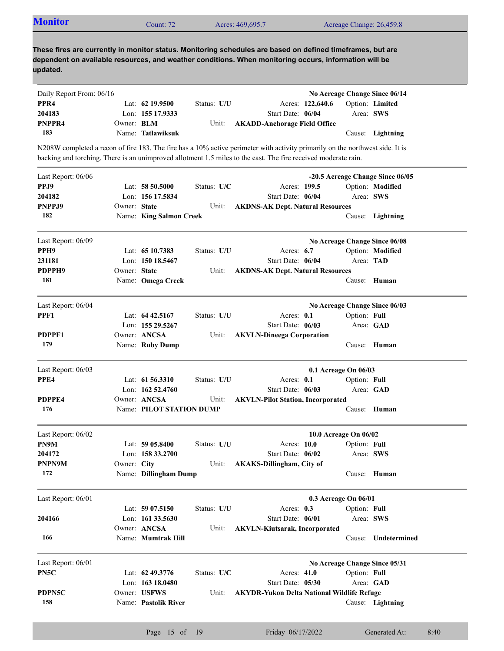| <b>Monitor</b>                                                                                                                                                                                                                                  |                   | Count: 72                |             | Acres: 469,695.7                                  |                  |                       | Acreage Change: 26,459.8         |
|-------------------------------------------------------------------------------------------------------------------------------------------------------------------------------------------------------------------------------------------------|-------------------|--------------------------|-------------|---------------------------------------------------|------------------|-----------------------|----------------------------------|
| These fires are currently in monitor status. Monitoring schedules are based on defined timeframes, but are<br>dependent on available resources, and weather conditions. When monitoring occurs, information will be<br>updated.                 |                   |                          |             |                                                   |                  |                       |                                  |
| Daily Report From: 06/16                                                                                                                                                                                                                        |                   |                          |             |                                                   |                  |                       | No Acreage Change Since 06/14    |
| PPR4                                                                                                                                                                                                                                            |                   | Lat: $62$ 19.9500        | Status: U/U |                                                   | Acres: 122,640.6 |                       | Option: Limited                  |
| 204183                                                                                                                                                                                                                                          |                   | Lon: 155 17.9333         |             | Start Date: 06/04                                 |                  |                       | Area: SWS                        |
| PNPPR4                                                                                                                                                                                                                                          | Owner: <b>BLM</b> |                          | Unit:       | <b>AKADD-Anchorage Field Office</b>               |                  |                       |                                  |
| 183                                                                                                                                                                                                                                             |                   | Name: Tatlawiksuk        |             |                                                   |                  |                       | Cause: Lightning                 |
| N208W completed a recon of fire 183. The fire has a 10% active perimeter with activity primarily on the northwest side. It is<br>backing and torching. There is an unimproved allotment 1.5 miles to the east. The fire received moderate rain. |                   |                          |             |                                                   |                  |                       |                                  |
| Last Report: 06/06                                                                                                                                                                                                                              |                   |                          |             |                                                   |                  |                       | -20.5 Acreage Change Since 06/05 |
| PPJ9                                                                                                                                                                                                                                            |                   | Lat: $58\,50.5000$       | Status: U/C |                                                   | Acres: 199.5     |                       | Option: Modified                 |
| 204182                                                                                                                                                                                                                                          |                   | Lon: 156 17.5834         |             | Start Date: 06/04                                 |                  |                       | Area: SWS                        |
| PNPPJ9                                                                                                                                                                                                                                          | Owner: State      |                          | Unit:       | <b>AKDNS-AK Dept. Natural Resources</b>           |                  |                       |                                  |
| 182                                                                                                                                                                                                                                             |                   | Name: King Salmon Creek  |             |                                                   |                  |                       | Cause: Lightning                 |
| Last Report: 06/09                                                                                                                                                                                                                              |                   |                          |             |                                                   |                  |                       | No Acreage Change Since 06/08    |
| PPH <sub>9</sub>                                                                                                                                                                                                                                |                   | Lat: 65 10.7383          | Status: U/U |                                                   | Acres: $6.7$     |                       | Option: Modified                 |
| 231181                                                                                                                                                                                                                                          |                   | Lon: 150 18.5467         |             | Start Date: 06/04                                 |                  |                       | Area: TAD                        |
| PDPPH9                                                                                                                                                                                                                                          | Owner: State      |                          | Unit:       | <b>AKDNS-AK Dept. Natural Resources</b>           |                  |                       |                                  |
| 181                                                                                                                                                                                                                                             |                   | Name: Omega Creek        |             |                                                   |                  |                       | Cause: Human                     |
| Last Report: 06/04                                                                                                                                                                                                                              |                   |                          |             |                                                   |                  |                       | No Acreage Change Since 06/03    |
| PPF1                                                                                                                                                                                                                                            |                   | Lat: $64\,42.5167$       | Status: U/U |                                                   | Acres: 0.1       | Option: Full          |                                  |
|                                                                                                                                                                                                                                                 |                   | Lon: 155 29.5267         |             | Start Date: 06/03                                 |                  |                       | Area: GAD                        |
| PDPPF1                                                                                                                                                                                                                                          |                   | Owner: ANCSA             | Unit:       | <b>AKVLN-Dineega Corporation</b>                  |                  |                       |                                  |
| 179                                                                                                                                                                                                                                             |                   | Name: Ruby Dump          |             |                                                   |                  |                       | Cause: Human                     |
| Last Report: 06/03                                                                                                                                                                                                                              |                   |                          |             |                                                   |                  | 0.1 Acreage On 06/03  |                                  |
| PPE4                                                                                                                                                                                                                                            |                   | Lat: $61\,56.3310$       | Status: U/U |                                                   | Acres: 0.1       | Option: Full          |                                  |
|                                                                                                                                                                                                                                                 |                   | Lon: 162 52.4760         |             | Start Date: 06/03                                 |                  |                       | Area: GAD                        |
| PDPPE4                                                                                                                                                                                                                                          |                   | Owner: ANCSA             | Unit:       | <b>AKVLN-Pilot Station, Incorporated</b>          |                  |                       |                                  |
| 176                                                                                                                                                                                                                                             |                   | Name: PILOT STATION DUMP |             |                                                   |                  |                       | Cause: Human                     |
| Last Report: 06/02                                                                                                                                                                                                                              |                   |                          |             |                                                   |                  | 10.0 Acreage On 06/02 |                                  |
| PN9M                                                                                                                                                                                                                                            |                   | Lat: 59 05.8400          | Status: U/U |                                                   | Acres: 10.0      | Option: Full          |                                  |
| 204172                                                                                                                                                                                                                                          |                   | Lon: 158 33.2700         |             | Start Date: 06/02                                 |                  |                       | Area: SWS                        |
| PNPN9M                                                                                                                                                                                                                                          | Owner: City       |                          | Unit:       | <b>AKAKS-Dillingham, City of</b>                  |                  |                       |                                  |
| 172                                                                                                                                                                                                                                             |                   | Name: Dillingham Dump    |             |                                                   |                  |                       | Cause: Human                     |
| Last Report: 06/01                                                                                                                                                                                                                              |                   |                          |             |                                                   |                  | 0.3 Acreage On 06/01  |                                  |
|                                                                                                                                                                                                                                                 |                   | Lat: $5907.5150$         | Status: U/U |                                                   | Acres: 0.3       | Option: Full          |                                  |
| 204166                                                                                                                                                                                                                                          |                   | Lon: 161 33.5630         |             | Start Date: 06/01                                 |                  |                       | Area: SWS                        |
|                                                                                                                                                                                                                                                 |                   | Owner: ANCSA             | Unit:       | <b>AKVLN-Kiutsarak, Incorporated</b>              |                  |                       |                                  |
| 166                                                                                                                                                                                                                                             |                   | Name: Mumtrak Hill       |             |                                                   |                  | Cause:                | Undetermined                     |
| Last Report: 06/01                                                                                                                                                                                                                              |                   |                          |             |                                                   |                  |                       | No Acreage Change Since 05/31    |
| PN5C                                                                                                                                                                                                                                            |                   | Lat: 62 49.3776          | Status: U/C |                                                   | Acres: 41.0      | Option: Full          |                                  |
|                                                                                                                                                                                                                                                 |                   | Lon: $16318.0480$        |             | Start Date: 05/30                                 |                  |                       | Area: GAD                        |
| PDPN5C                                                                                                                                                                                                                                          |                   | Owner: USFWS             | Unit:       | <b>AKYDR-Yukon Delta National Wildlife Refuge</b> |                  |                       |                                  |

Name: **Pastolik River**

**158**

Page 15 of 19 Friday 06/17/2022 Generated At: 8:40

Cause: **Lightning**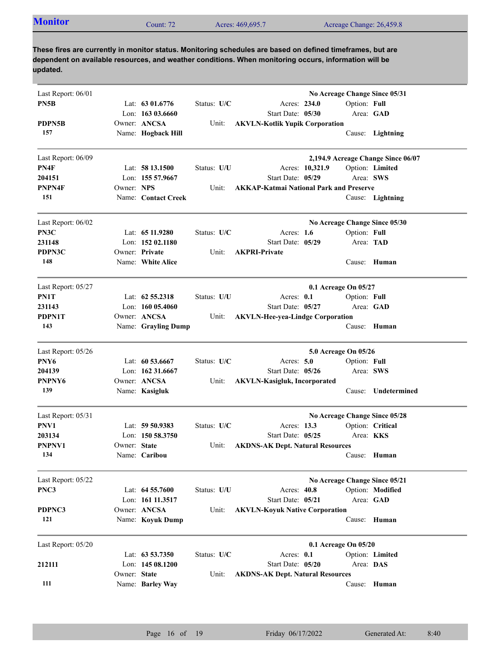| Acreage Change: 26,459.8<br>Acres: 469,695.7<br>Jount: 72 | <b>Monitor</b> |  |  |  |  |
|-----------------------------------------------------------|----------------|--|--|--|--|
|-----------------------------------------------------------|----------------|--|--|--|--|

| Last Report: 06/01 |              |                     |             | No Acreage Change Since 05/31                  |
|--------------------|--------------|---------------------|-------------|------------------------------------------------|
| PN5B               |              | Lat: $6301.6776$    | Status: U/C | Option: Full<br>Acres: 234.0                   |
|                    |              | Lon: $16303.6660$   |             | Start Date: 05/30<br>Area: GAD                 |
| PDPN5B             |              | Owner: ANCSA        | Unit:       | <b>AKVLN-Kotlik Yupik Corporation</b>          |
| 157                |              | Name: Hogback Hill  |             | Cause: Lightning                               |
| Last Report: 06/09 |              |                     |             | 2,194.9 Acreage Change Since 06/07             |
| PN4F               |              | Lat: 58 13.1500     | Status: U/U | Option: Limited<br>Acres: 10,321.9             |
| 204151             |              | Lon: 155 57.9667    |             | Start Date: 05/29<br>Area: SWS                 |
| PNPN4F             | Owner: NPS   |                     | Unit:       | <b>AKKAP-Katmai National Park and Preserve</b> |
| 151                |              | Name: Contact Creek |             | Cause: Lightning                               |
| Last Report: 06/02 |              |                     |             | No Acreage Change Since 05/30                  |
| PN3C               |              | Lat: 65 11.9280     | Status: U/C | Acres: $1.6$<br>Option: Full                   |
| 231148             |              | Lon: 152 02.1180    |             | Start Date: 05/29<br>Area: TAD                 |
| PDPN3C             |              | Owner: Private      | Unit:       | <b>AKPRI-Private</b>                           |
| 148                |              | Name: White Alice   |             | Cause: Human                                   |
| Last Report: 05/27 |              |                     |             | 0.1 Acreage On 05/27                           |
| PN1T               |              | Lat: $62\,55.2318$  | Status: U/U | Acres: $0.1$<br>Option: Full                   |
| 231143             |              | Lon: $16005.4060$   |             | Area: GAD<br>Start Date: 05/27                 |
| PDPN1T             |              | Owner: ANCSA        | Unit:       | <b>AKVLN-Hee-yea-Lindge Corporation</b>        |
| 143                |              | Name: Grayling Dump |             | Cause:<br>Human                                |
| Last Report: 05/26 |              |                     |             | 5.0 Acreage On 05/26                           |
| PNY6               |              | Lat: $60\,53.6667$  | Status: U/C | Acres: 5.0<br>Option: Full                     |
| 204139             |              | Lon: $16231.6667$   |             | Start Date: 05/26<br>Area: SWS                 |
| PNPNY6             |              | Owner: ANCSA        | Unit:       | <b>AKVLN-Kasigluk, Incorporated</b>            |
| 139                |              | Name: Kasigluk      |             | Undetermined<br>Cause:                         |
| Last Report: 05/31 |              |                     |             | No Acreage Change Since 05/28                  |
| PNV1               |              | Lat: 59 50.9383     | Status: U/C | Acres: 13.3<br>Option: Critical                |
| 203134             |              | Lon: $15058.3750$   |             | Start Date: 05/25<br>Area: KKS                 |
| PNPNV1             | Owner: State |                     | Unit:       | <b>AKDNS-AK Dept. Natural Resources</b>        |
| 134                |              | Name: Caribou       |             | Cause: Human                                   |
| Last Report: 05/22 |              |                     |             | No Acreage Change Since 05/21                  |
| PNC3               |              | Lat: $64\,55.7600$  | Status: U/U | Acres: 40.8<br>Option: Modified                |
|                    |              | Lon: 161 11.3517    |             | Start Date: 05/21<br>Area: GAD                 |
| PDPNC3             |              | Owner: ANCSA        | Unit:       | <b>AKVLN-Koyuk Native Corporation</b>          |
| 121                |              | Name: Koyuk Dump    |             | Cause: Human                                   |
| Last Report: 05/20 |              |                     |             | 0.1 Acreage On 05/20                           |
|                    |              | Lat: 63 53.7350     | Status: U/C | Acres: 0.1<br>Option: Limited                  |
| 212111             |              | Lon: 145 08.1200    |             | Start Date: 05/20<br>Area: DAS                 |
|                    | Owner: State |                     | Unit:       | <b>AKDNS-AK Dept. Natural Resources</b>        |
| 111                |              | Name: Barley Way    |             | Cause: Human                                   |
|                    |              |                     |             |                                                |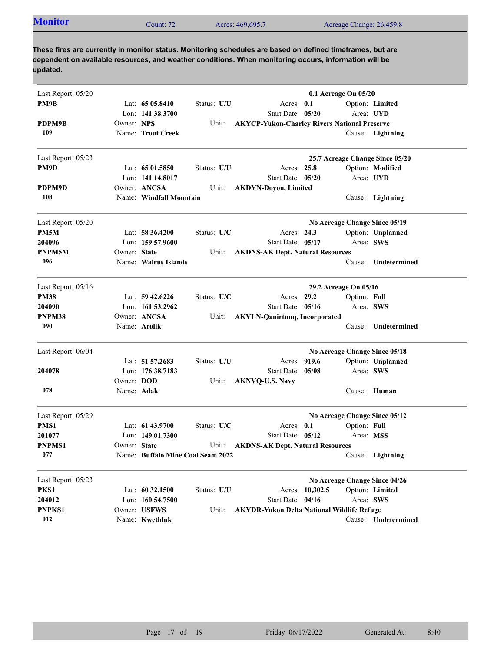| <b>Monitor</b> | Count: 72 | Acres: 469,695.7 | Acreage Change: 26,459.8 |  |
|----------------|-----------|------------------|--------------------------|--|

| Last Report: 05/20 |                   |                                   |             |                                                     |                 | 0.1 Acreage On 05/20  |                                 |
|--------------------|-------------------|-----------------------------------|-------------|-----------------------------------------------------|-----------------|-----------------------|---------------------------------|
| PM9B               |                   | Lat: $6505.8410$                  | Status: U/U | Acres: 0.1                                          |                 |                       | Option: Limited                 |
|                    |                   | Lon: 141 38.3700                  |             | Start Date: 05/20                                   |                 |                       | Area: UYD                       |
| PDPM9B             | Owner: NPS        |                                   | Unit:       | <b>AKYCP-Yukon-Charley Rivers National Preserve</b> |                 |                       |                                 |
| 109                |                   | Name: Trout Creek                 |             |                                                     |                 |                       | Cause: Lightning                |
| Last Report: 05/23 |                   |                                   |             |                                                     |                 |                       | 25.7 Acreage Change Since 05/20 |
| PM9D               |                   | Lat: $6501.5850$                  | Status: U/U | Acres: 25.8                                         |                 |                       | Option: Modified                |
|                    |                   | Lon: 141 14,8017                  |             | Start Date: 05/20                                   |                 |                       | Area: UYD                       |
| PDPM9D             |                   | Owner: ANCSA                      | Unit:       | <b>AKDYN-Doyon, Limited</b>                         |                 |                       |                                 |
| 108                |                   | Name: Windfall Mountain           |             |                                                     |                 |                       | Cause: Lightning                |
| Last Report: 05/20 |                   |                                   |             |                                                     |                 |                       | No Acreage Change Since 05/19   |
| PM5M               |                   | Lat: $58\,36.4200$                | Status: U/C | Acres: 24.3                                         |                 |                       | Option: Unplanned               |
| 204096             |                   | Lon: 159 57.9600                  |             | Start Date: 05/17                                   |                 | Area: SWS             |                                 |
| PNPM5M             | Owner: State      |                                   | Unit:       | <b>AKDNS-AK Dept. Natural Resources</b>             |                 |                       |                                 |
| 096                |                   | Name: Walrus Islands              |             |                                                     |                 | Cause:                | Undetermined                    |
| Last Report: 05/16 |                   |                                   |             |                                                     |                 | 29.2 Acreage On 05/16 |                                 |
| <b>PM38</b>        |                   | Lat: $59\,42.6226$                | Status: U/C | Acres: 29.2                                         |                 | Option: Full          |                                 |
| 204090             |                   | Lon: $161\,53.2962$               |             | Start Date: 05/16                                   |                 | Area: SWS             |                                 |
| PNPM38             |                   | Owner: ANCSA                      | Unit:       | <b>AKVLN-Qanirtuuq, Incorporated</b>                |                 |                       |                                 |
| 090                |                   | Name: Arolik                      |             |                                                     |                 | Cause:                | Undetermined                    |
| Last Report: 06/04 |                   |                                   |             |                                                     |                 |                       | No Acreage Change Since 05/18   |
|                    |                   | Lat: 51 57.2683                   | Status: U/U | Acres: 919.6                                        |                 |                       | Option: Unplanned               |
| 204078             |                   | Lon: $17638.7183$                 |             | Start Date: 05/08                                   |                 | Area: SWS             |                                 |
|                    | Owner: <b>DOD</b> |                                   | Unit:       | <b>AKNVQ-U.S. Navy</b>                              |                 |                       |                                 |
| 078                | Name: Adak        |                                   |             |                                                     |                 |                       | Cause: Human                    |
| Last Report: 05/29 |                   |                                   |             |                                                     |                 |                       | No Acreage Change Since 05/12   |
| PMS1               |                   | Lat: $61\,43.9700$                | Status: U/C | Acres: $0.1$                                        |                 | Option: Full          |                                 |
| 201077             |                   | Lon: $14901.7300$                 |             | Start Date: 05/12                                   |                 | Area: MSS             |                                 |
| <b>PNPMS1</b>      | Owner: State      |                                   | Unit:       | <b>AKDNS-AK Dept. Natural Resources</b>             |                 |                       |                                 |
| 077                |                   | Name: Buffalo Mine Coal Seam 2022 |             |                                                     |                 |                       | Cause: Lightning                |
| Last Report: 05/23 |                   |                                   |             |                                                     |                 |                       | No Acreage Change Since 04/26   |
| PKS1               |                   | Lat: 60 32.1500                   | Status: U/U |                                                     | Acres: 10,302.5 |                       | Option: Limited                 |
| 204012             |                   | Lon: 160 54.7500                  |             | Start Date: 04/16                                   |                 | Area: SWS             |                                 |
| PNPKS1             |                   | Owner: USFWS                      | Unit:       | <b>AKYDR-Yukon Delta National Wildlife Refuge</b>   |                 |                       |                                 |
| 012                |                   | Name: Kwethluk                    |             |                                                     |                 |                       | Cause: Undetermined             |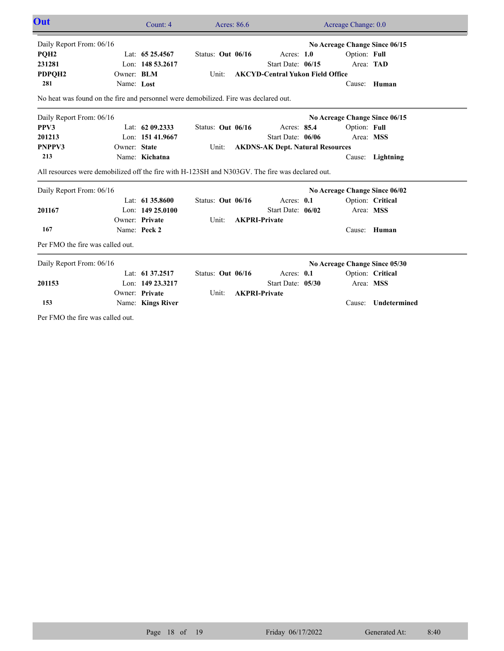| Out                                                                                             |              | Count: 4           | Acres: 86.6       |                                         | Acreage Change: 0.0           |                  |
|-------------------------------------------------------------------------------------------------|--------------|--------------------|-------------------|-----------------------------------------|-------------------------------|------------------|
| Daily Report From: 06/16                                                                        |              |                    |                   |                                         | No Acreage Change Since 06/15 |                  |
| PQH <sub>2</sub>                                                                                |              | Lat: 65 25.4567    | Status: Out 06/16 | Acres: $1.0$                            | Option: Full                  |                  |
| 231281                                                                                          |              | Lon: 148 53.2617   |                   | Start Date: 06/15                       | Area: TAD                     |                  |
| PDPQH2                                                                                          | Owner: BLM   |                    | Unit:             | <b>AKCYD-Central Yukon Field Office</b> |                               |                  |
| 281                                                                                             | Name: Lost   |                    |                   |                                         |                               | Cause: Human     |
| No heat was found on the fire and personnel were demobilized. Fire was declared out.            |              |                    |                   |                                         |                               |                  |
| Daily Report From: 06/16                                                                        |              |                    |                   |                                         | No Acreage Change Since 06/15 |                  |
| PPV3                                                                                            |              | Lat: 62 09.2333    | Status: Out 06/16 | Acres: 85.4                             | Option: Full                  |                  |
| 201213                                                                                          |              | Lon: 151 41.9667   |                   | Start Date: 06/06                       | Area: MSS                     |                  |
| PNPPV3                                                                                          | Owner: State |                    | Unit:             | <b>AKDNS-AK Dept. Natural Resources</b> |                               |                  |
| 213                                                                                             |              | Name: Kichatna     |                   |                                         |                               | Cause: Lightning |
| All resources were demobilized off the fire with H-123SH and N303GV. The fire was declared out. |              |                    |                   |                                         |                               |                  |
| Daily Report From: 06/16                                                                        |              |                    |                   |                                         | No Acreage Change Since 06/02 |                  |
|                                                                                                 |              | Lat: $61\,35.8600$ | Status: Out 06/16 | Acres: 0.1                              |                               | Option: Critical |
| 201167                                                                                          |              | Lon: 149 25.0100   |                   | Start Date: 06/02                       | Area: MSS                     |                  |
|                                                                                                 |              | Owner: Private     | Unit:             | <b>AKPRI-Private</b>                    |                               |                  |
| 167                                                                                             |              | Name: Peck 2       |                   |                                         |                               | Cause: Human     |
| Per FMO the fire was called out.                                                                |              |                    |                   |                                         |                               |                  |
| Daily Report From: 06/16                                                                        |              |                    |                   |                                         | No Acreage Change Since 05/30 |                  |
|                                                                                                 |              | Lat: 61 37.2517    | Status: Out 06/16 | Acres: 0.1                              |                               | Option: Critical |
| 201153                                                                                          |              | Lon: 149 23.3217   |                   | Start Date: 05/30                       | Area: MSS                     |                  |
|                                                                                                 |              | Owner: Private     | Unit:             | <b>AKPRI-Private</b>                    |                               |                  |
| 153                                                                                             |              | Name: Kings River  |                   |                                         | Cause:                        | Undetermined     |
| Per FMO the fire was called out.                                                                |              |                    |                   |                                         |                               |                  |